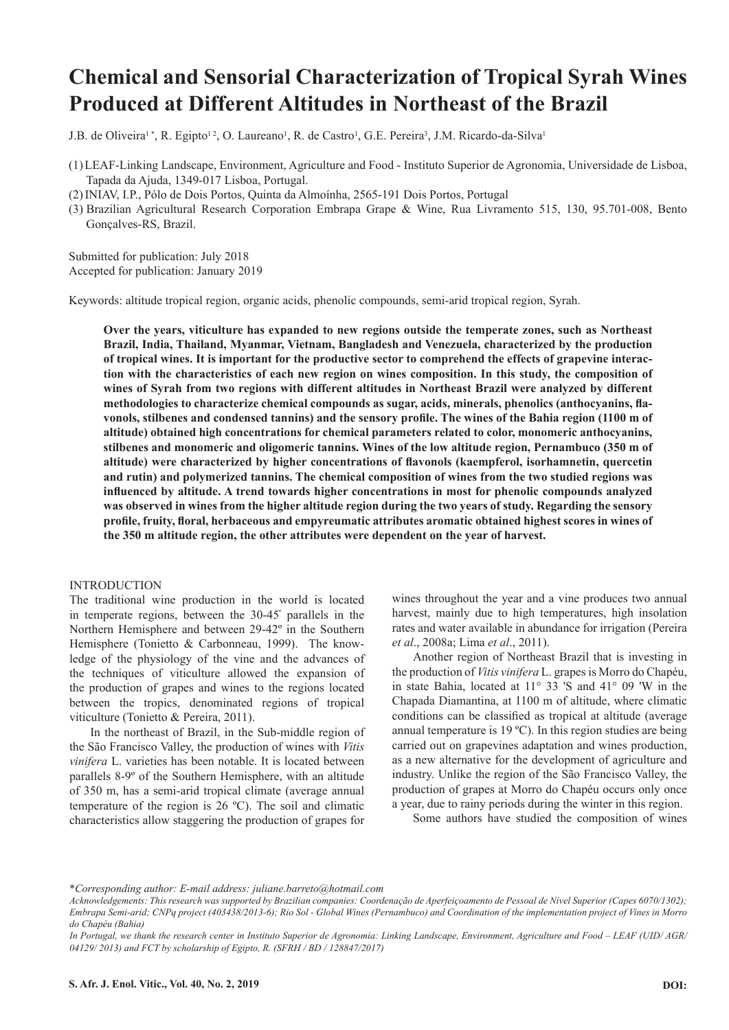# **Chemical and Sensorial Characterization of Tropical Syrah Wines Produced at Different Altitudes in Northeast of the Brazil**

J.B. de Oliveira<sup>1</sup>\*, R. Egipto<sup>12</sup>, O. Laureano<sup>1</sup>, R. de Castro<sup>1</sup>, G.E. Pereira<sup>3</sup>, J.M. Ricardo-da-Silva<sup>1</sup>

- (1)LEAF-Linking Landscape, Environment, Agriculture and Food Instituto Superior de Agronomia, Universidade de Lisboa, Tapada da Ajuda, 1349-017 Lisboa, Portugal.
- (2)INIAV, I.P., Pólo de Dois Portos, Quinta da Almoínha, 2565-191 Dois Portos, Portugal
- (3) Brazilian Agricultural Research Corporation Embrapa Grape & Wine, Rua Livramento 515, 130, 95.701-008, Bento Gonçalves-RS, Brazil.

Submitted for publication: July 2018 Accepted for publication: January 2019

Keywords: altitude tropical region, organic acids, phenolic compounds, semi-arid tropical region, Syrah.

**Over the years, viticulture has expanded to new regions outside the temperate zones, such as Northeast Brazil, India, Thailand, Myanmar, Vietnam, Bangladesh and Venezuela, characterized by the production of tropical wines. It is important for the productive sector to comprehend the effects of grapevine interaction with the characteristics of each new region on wines composition. In this study, the composition of wines of Syrah from two regions with different altitudes in Northeast Brazil were analyzed by different methodologies to characterize chemical compounds as sugar, acids, minerals, phenolics (anthocyanins, flavonols, stilbenes and condensed tannins) and the sensory profile. The wines of the Bahia region (1100 m of altitude) obtained high concentrations for chemical parameters related to color, monomeric anthocyanins, stilbenes and monomeric and oligomeric tannins. Wines of the low altitude region, Pernambuco (350 m of altitude) were characterized by higher concentrations of flavonols (kaempferol, isorhamnetin, quercetin and rutin) and polymerized tannins. The chemical composition of wines from the two studied regions was influenced by altitude. A trend towards higher concentrations in most for phenolic compounds analyzed was observed in wines from the higher altitude region during the two years of study. Regarding the sensory profile, fruity, floral, herbaceous and empyreumatic attributes aromatic obtained highest scores in wines of the 350 m altitude region, the other attributes were dependent on the year of harvest.**

#### INTRODUCTION

The traditional wine production in the world is located in temperate regions, between the 30-45º parallels in the Northern Hemisphere and between 29-42º in the Southern Hemisphere (Tonietto & Carbonneau, 1999). The knowledge of the physiology of the vine and the advances of the techniques of viticulture allowed the expansion of the production of grapes and wines to the regions located between the tropics, denominated regions of tropical viticulture (Tonietto & Pereira, 2011).

In the northeast of Brazil, in the Sub-middle region of the São Francisco Valley, the production of wines with *Vitis vinifera* L. varieties has been notable. It is located between parallels 8-9º of the Southern Hemisphere, with an altitude of 350 m, has a semi-arid tropical climate (average annual temperature of the region is 26 ºC). The soil and climatic characteristics allow staggering the production of grapes for

wines throughout the year and a vine produces two annual harvest, mainly due to high temperatures, high insolation rates and water available in abundance for irrigation (Pereira *et al*., 2008a; Lima *et al*., 2011).

Another region of Northeast Brazil that is investing in the production of *Vitis vinifera* L. grapes is Morro do Chapéu, in state Bahia, located at 11° 33 'S and 41° 09 'W in the Chapada Diamantina, at 1100 m of altitude, where climatic conditions can be classified as tropical at altitude (average annual temperature is 19 ºC). In this region studies are being carried out on grapevines adaptation and wines production, as a new alternative for the development of agriculture and industry. Unlike the region of the São Francisco Valley, the production of grapes at Morro do Chapéu occurs only once a year, due to rainy periods during the winter in this region.

Some authors have studied the composition of wines

<sup>\*</sup>*Corresponding author: E-mail address: juliane.barreto@hotmail.com*

*Acknowledgements: This research was supported by Brazilian companies: Coordenação de Aperfeiçoamento de Pessoal de Nível Superior (Capes 6070/1302); Embrapa Semi-arid; CNPq project (403438/2013-6); Rio Sol - Global Wines (Pernambuco) and Coordination of the implementation project of Vines in Morro do Chapéu (Bahia)*

*In Portugal, we thank the research center in Instituto Superior de Agronomia: Linking Landscape, Environment, Agriculture and Food – LEAF (UID/ AGR/ 04129/ 2013) and FCT by scholarship of Egipto, R. (SFRH / BD / 128847/2017)*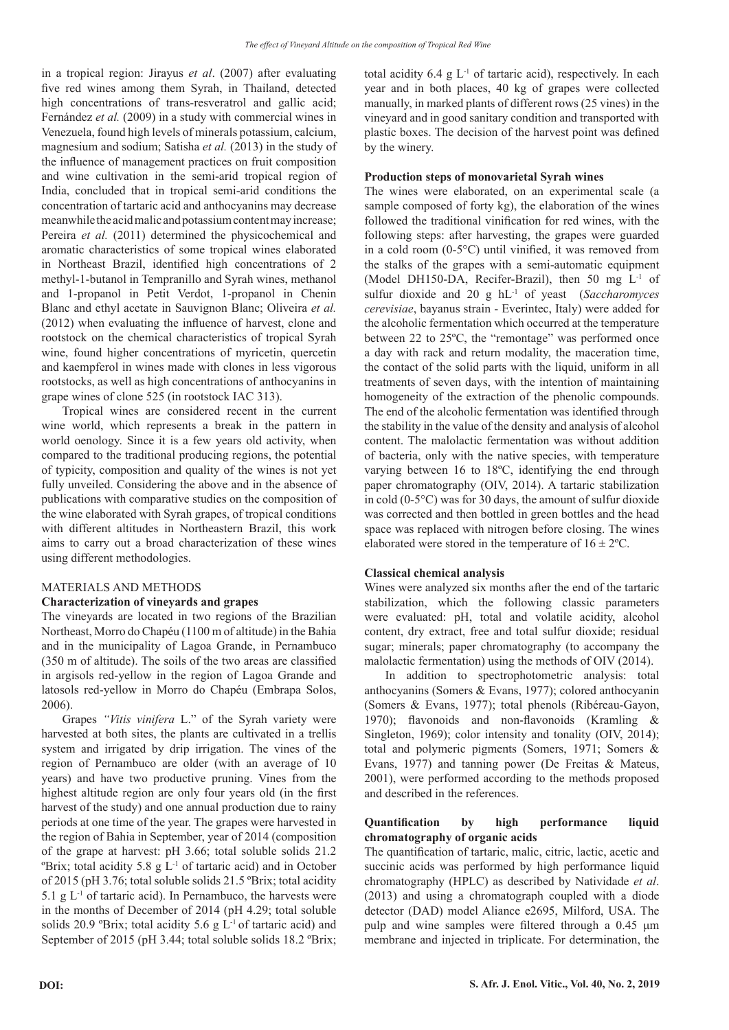in a tropical region: Jirayus *et al*. (2007) after evaluating five red wines among them Syrah, in Thailand, detected high concentrations of trans-resveratrol and gallic acid: Fernández *et al.* (2009) in a study with commercial wines in Venezuela, found high levels of minerals potassium, calcium, magnesium and sodium; Satisha *et al.* (2013) in the study of the influence of management practices on fruit composition and wine cultivation in the semi-arid tropical region of India, concluded that in tropical semi-arid conditions the concentration of tartaric acid and anthocyanins may decrease meanwhile the acid malic and potassium content may increase; Pereira *et al.* (2011) determined the physicochemical and aromatic characteristics of some tropical wines elaborated in Northeast Brazil, identified high concentrations of 2 methyl-1-butanol in Tempranillo and Syrah wines, methanol and 1-propanol in Petit Verdot, 1-propanol in Chenin Blanc and ethyl acetate in Sauvignon Blanc; Oliveira *et al.* (2012) when evaluating the influence of harvest, clone and rootstock on the chemical characteristics of tropical Syrah wine, found higher concentrations of myricetin, quercetin and kaempferol in wines made with clones in less vigorous rootstocks, as well as high concentrations of anthocyanins in grape wines of clone 525 (in rootstock IAC 313).

Tropical wines are considered recent in the current wine world, which represents a break in the pattern in world oenology. Since it is a few years old activity, when compared to the traditional producing regions, the potential of typicity, composition and quality of the wines is not yet fully unveiled. Considering the above and in the absence of publications with comparative studies on the composition of the wine elaborated with Syrah grapes, of tropical conditions with different altitudes in Northeastern Brazil, this work aims to carry out a broad characterization of these wines using different methodologies.

# MATERIALS AND METHODS

# **Characterization of vineyards and grapes**

The vineyards are located in two regions of the Brazilian Northeast, Morro do Chapéu (1100 m of altitude) in the Bahia and in the municipality of Lagoa Grande, in Pernambuco (350 m of altitude). The soils of the two areas are classified in argisols red-yellow in the region of Lagoa Grande and latosols red-yellow in Morro do Chapéu (Embrapa Solos, 2006).

Grapes *"Vitis vinifera* L." of the Syrah variety were harvested at both sites, the plants are cultivated in a trellis system and irrigated by drip irrigation. The vines of the region of Pernambuco are older (with an average of 10 years) and have two productive pruning. Vines from the highest altitude region are only four years old (in the first harvest of the study) and one annual production due to rainy periods at one time of the year. The grapes were harvested in the region of Bahia in September, year of 2014 (composition of the grape at harvest: pH 3.66; total soluble solids 21.2  $\mathrm{P}\text{Brix}$ ; total acidity 5.8 g  $\mathrm{L}^{-1}$  of tartaric acid) and in October of 2015 (pH 3.76; total soluble solids 21.5 ºBrix; total acidity 5.1 g  $L^{-1}$  of tartaric acid). In Pernambuco, the harvests were in the months of December of 2014 (pH 4.29; total soluble solids 20.9 °Brix; total acidity 5.6  $g L<sup>-1</sup>$  of tartaric acid) and September of 2015 (pH 3.44; total soluble solids 18.2 ºBrix;

total acidity  $6.4 \text{ g L}^{-1}$  of tartaric acid), respectively. In each year and in both places, 40 kg of grapes were collected manually, in marked plants of different rows (25 vines) in the vineyard and in good sanitary condition and transported with plastic boxes. The decision of the harvest point was defined by the winery.

# **Production steps of monovarietal Syrah wines**

The wines were elaborated, on an experimental scale (a sample composed of forty kg), the elaboration of the wines followed the traditional vinification for red wines, with the following steps: after harvesting, the grapes were guarded in a cold room (0-5°C) until vinified, it was removed from the stalks of the grapes with a semi-automatic equipment (Model DH150-DA, Recifer-Brazil), then 50 mg L-1 of sulfur dioxide and 20 g hL-1 of yeast (*Saccharomyces cerevisiae*, bayanus strain - Everintec, Italy) were added for the alcoholic fermentation which occurred at the temperature between 22 to 25ºC, the "remontage" was performed once a day with rack and return modality, the maceration time, the contact of the solid parts with the liquid, uniform in all treatments of seven days, with the intention of maintaining homogeneity of the extraction of the phenolic compounds. The end of the alcoholic fermentation was identified through the stability in the value of the density and analysis of alcohol content. The malolactic fermentation was without addition of bacteria, only with the native species, with temperature varying between 16 to 18ºC, identifying the end through paper chromatography (OIV, 2014). A tartaric stabilization in cold (0-5°C) was for 30 days, the amount of sulfur dioxide was corrected and then bottled in green bottles and the head space was replaced with nitrogen before closing. The wines elaborated were stored in the temperature of  $16 \pm 2$ °C.

# **Classical chemical analysis**

Wines were analyzed six months after the end of the tartaric stabilization, which the following classic parameters were evaluated: pH, total and volatile acidity, alcohol content, dry extract, free and total sulfur dioxide; residual sugar; minerals; paper chromatography (to accompany the malolactic fermentation) using the methods of OIV (2014).

In addition to spectrophotometric analysis: total anthocyanins (Somers & Evans, 1977); colored anthocyanin (Somers & Evans, 1977); total phenols (Ribéreau-Gayon, 1970); flavonoids and non-flavonoids (Kramling & Singleton, 1969); color intensity and tonality (OIV, 2014); total and polymeric pigments (Somers, 1971; Somers & Evans, 1977) and tanning power (De Freitas & Mateus, 2001), were performed according to the methods proposed and described in the references.

# **Quantification by high performance liquid chromatography of organic acids**

The quantification of tartaric, malic, citric, lactic, acetic and succinic acids was performed by high performance liquid chromatography (HPLC) as described by Natividade *et al*. (2013) and using a chromatograph coupled with a diode detector (DAD) model Aliance e2695, Milford, USA. The pulp and wine samples were filtered through a 0.45 μm membrane and injected in triplicate. For determination, the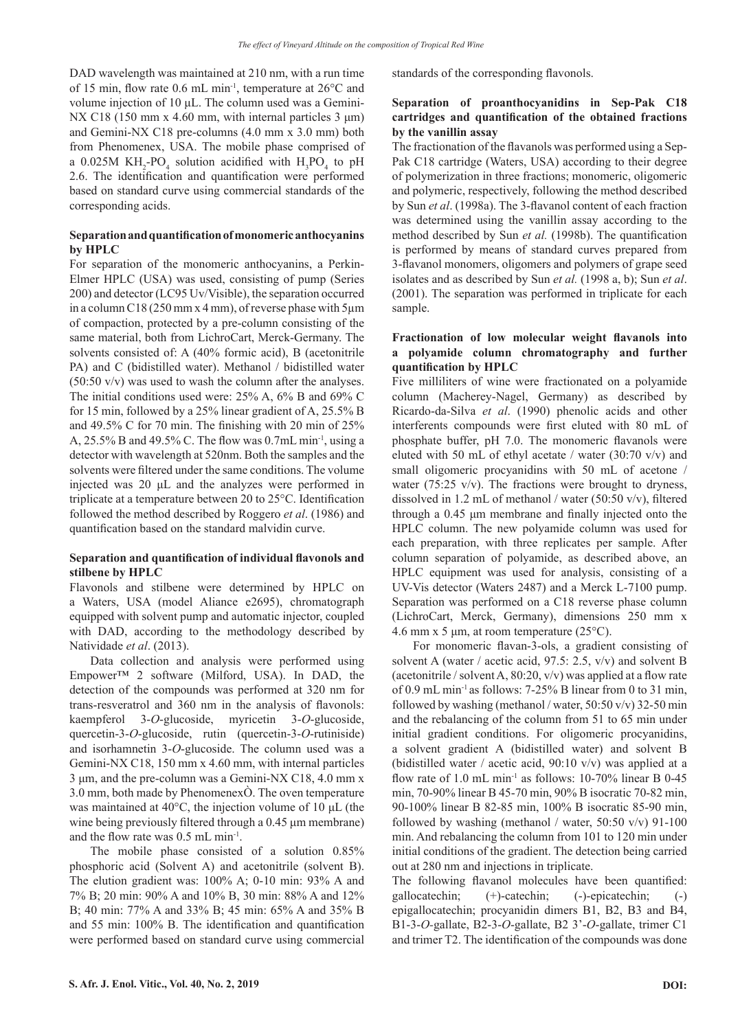DAD wavelength was maintained at 210 nm, with a run time of 15 min, flow rate 0.6 mL min-1, temperature at 26°C and volume injection of 10 μL. The column used was a Gemini-NX C<sub>18</sub> (150 mm x 4.60 mm, with internal particles 3 μm) and Gemini-NX C18 pre-columns (4.0 mm x 3.0 mm) both from Phenomenex, USA. The mobile phase comprised of a 0.025M  $KH_{2}$ -PO<sub>4</sub> solution acidified with  $H_{3}PO_{4}$  to pH 2.6. The identification and quantification were performed based on standard curve using commercial standards of the corresponding acids.

# **Separation and quantification of monomeric anthocyanins by HPLC**

For separation of the monomeric anthocyanins, a Perkin-Elmer HPLC (USA) was used, consisting of pump (Series 200) and detector (LC95 Uv/Visible), the separation occurred in a column C18 (250 mm x 4 mm), of reverse phase with 5µm of compaction, protected by a pre-column consisting of the same material, both from LichroCart, Merck-Germany. The solvents consisted of: A (40% formic acid), B (acetonitrile PA) and C (bidistilled water). Methanol / bidistilled water (50:50 v/v) was used to wash the column after the analyses. The initial conditions used were: 25% A, 6% B and 69% C for 15 min, followed by a 25% linear gradient of A, 25.5% B and 49.5% C for 70 min. The finishing with 20 min of 25% A,  $25.5\%$  B and  $49.5\%$  C. The flow was 0.7mL min<sup>-1</sup>, using a detector with wavelength at 520nm. Both the samples and the solvents were filtered under the same conditions. The volume injected was 20 μL and the analyzes were performed in triplicate at a temperature between 20 to 25°C. Identification followed the method described by Roggero *et al*. (1986) and quantification based on the standard malvidin curve.

# **Separation and quantification of individual flavonols and stilbene by HPLC**

Flavonols and stilbene were determined by HPLC on a Waters, USA (model Aliance e2695), chromatograph equipped with solvent pump and automatic injector, coupled with DAD, according to the methodology described by Natividade *et al*. (2013).

Data collection and analysis were performed using Empower™ 2 software (Milford, USA). In DAD, the detection of the compounds was performed at 320 nm for trans-resveratrol and 360 nm in the analysis of flavonols: kaempferol 3-*O*-glucoside, myricetin 3-*O*-glucoside, quercetin-3-*O*-glucoside, rutin (quercetin-3-*O*-rutiniside) and isorhamnetin 3-*O*-glucoside. The column used was a Gemini-NX C18, 150 mm x 4.60 mm, with internal particles 3 μm, and the pre-column was a Gemini-NX C18, 4.0 mm x 3.0 mm, both made by PhenomenexÒ. The oven temperature was maintained at 40°C, the injection volume of 10 μL (the wine being previously filtered through a 0.45 μm membrane) and the flow rate was 0.5 mL min-1.

The mobile phase consisted of a solution 0.85% phosphoric acid (Solvent A) and acetonitrile (solvent B). The elution gradient was: 100% A; 0-10 min: 93% A and 7% B; 20 min: 90% A and 10% B, 30 min: 88% A and 12% B; 40 min: 77% A and 33% B; 45 min: 65% A and 35% B and 55 min: 100% B. The identification and quantification were performed based on standard curve using commercial standards of the corresponding flavonols.

# **Separation of proanthocyanidins in Sep-Pak C18 cartridges and quantification of the obtained fractions by the vanillin assay**

The fractionation of the flavanols was performed using a Sep-Pak C18 cartridge (Waters, USA) according to their degree of polymerization in three fractions; monomeric, oligomeric and polymeric, respectively, following the method described by Sun *et al*. (1998a). The 3-flavanol content of each fraction was determined using the vanillin assay according to the method described by Sun *et al.* (1998b). The quantification is performed by means of standard curves prepared from 3-flavanol monomers, oligomers and polymers of grape seed isolates and as described by Sun *et al.* (1998 a, b); Sun *et al*. (2001). The separation was performed in triplicate for each sample.

# **Fractionation of low molecular weight flavanols into a polyamide column chromatography and further quantification by HPLC**

Five milliliters of wine were fractionated on a polyamide column (Macherey-Nagel, Germany) as described by Ricardo-da-Silva *et al*. (1990) phenolic acids and other interferents compounds were first eluted with 80 mL of phosphate buffer, pH 7.0. The monomeric flavanols were eluted with 50 mL of ethyl acetate / water  $(30:70 \text{ v/v})$  and small oligomeric procyanidins with 50 mL of acetone / water (75:25  $v/v$ ). The fractions were brought to dryness, dissolved in 1.2 mL of methanol / water (50:50 v/v), filtered through a 0.45 μm membrane and finally injected onto the HPLC column. The new polyamide column was used for each preparation, with three replicates per sample. After column separation of polyamide, as described above, an HPLC equipment was used for analysis, consisting of a UV-Vis detector (Waters 2487) and a Merck L-7100 pump. Separation was performed on a C18 reverse phase column (LichroCart, Merck, Germany), dimensions 250 mm x 4.6 mm x 5 μm, at room temperature (25°C).

For monomeric flavan-3-ols, a gradient consisting of solvent A (water / acetic acid, 97.5: 2.5, v/v) and solvent B (acetonitrile / solvent A, 80:20, v/v) was applied at a flow rate of 0.9 mL min-1 as follows: 7-25% B linear from 0 to 31 min, followed by washing (methanol / water,  $50:50$  v/v) 32-50 min and the rebalancing of the column from 51 to 65 min under initial gradient conditions. For oligomeric procyanidins, a solvent gradient A (bidistilled water) and solvent B (bidistilled water / acetic acid, 90:10 v/v) was applied at a flow rate of 1.0 mL min<sup>-1</sup> as follows: 10-70% linear B 0-45 min, 70-90% linear B 45-70 min, 90% B isocratic 70-82 min, 90-100% linear B 82-85 min, 100% B isocratic 85-90 min, followed by washing (methanol / water, 50:50 v/v) 91-100 min. And rebalancing the column from 101 to 120 min under initial conditions of the gradient. The detection being carried out at 280 nm and injections in triplicate.

The following flavanol molecules have been quantified: gallocatechin; (+)-catechin; (-)-epicatechin; (-) epigallocatechin; procyanidin dimers B1, B2, B3 and B4, B1-3-*O-*gallate, B2-3-*O*-gallate, B2 3'-*O*-gallate, trimer C1 and trimer T2. The identification of the compounds was done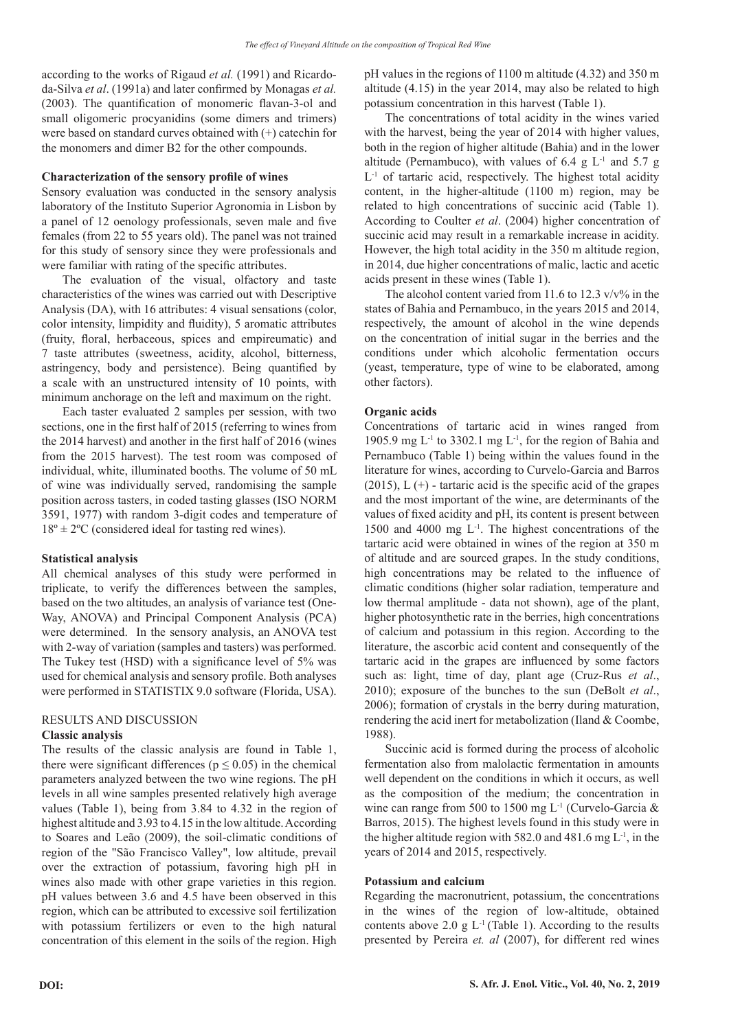according to the works of Rigaud *et al.* (1991) and Ricardoda-Silva *et al*. (1991a) and later confirmed by Monagas *et al.* (2003). The quantification of monomeric flavan-3-ol and small oligomeric procyanidins (some dimers and trimers) were based on standard curves obtained with (+) catechin for the monomers and dimer B2 for the other compounds.

## **Characterization of the sensory profile of wines**

Sensory evaluation was conducted in the sensory analysis laboratory of the Instituto Superior Agronomia in Lisbon by a panel of 12 oenology professionals, seven male and five females (from 22 to 55 years old). The panel was not trained for this study of sensory since they were professionals and were familiar with rating of the specific attributes.

The evaluation of the visual, olfactory and taste characteristics of the wines was carried out with Descriptive Analysis (DA), with 16 attributes: 4 visual sensations (color, color intensity, limpidity and fluidity), 5 aromatic attributes (fruity, floral, herbaceous, spices and empireumatic) and 7 taste attributes (sweetness, acidity, alcohol, bitterness, astringency, body and persistence). Being quantified by a scale with an unstructured intensity of 10 points, with minimum anchorage on the left and maximum on the right.

Each taster evaluated 2 samples per session, with two sections, one in the first half of 2015 (referring to wines from the 2014 harvest) and another in the first half of 2016 (wines from the 2015 harvest). The test room was composed of individual, white, illuminated booths. The volume of 50 mL of wine was individually served, randomising the sample position across tasters, in coded tasting glasses (ISO NORM 3591, 1977) with random 3-digit codes and temperature of  $18^{\circ} \pm 2^{\circ}$ C (considered ideal for tasting red wines).

# **Statistical analysis**

All chemical analyses of this study were performed in triplicate, to verify the differences between the samples, based on the two altitudes, an analysis of variance test (One-Way, ANOVA) and Principal Component Analysis (PCA) were determined. In the sensory analysis, an ANOVA test with 2-way of variation (samples and tasters) was performed. The Tukey test (HSD) with a significance level of 5% was used for chemical analysis and sensory profile. Both analyses were performed in STATISTIX 9.0 software (Florida, USA).

# RESULTS AND DISCUSSION

# **Classic analysis**

The results of the classic analysis are found in Table 1, there were significant differences ( $p \le 0.05$ ) in the chemical parameters analyzed between the two wine regions. The pH levels in all wine samples presented relatively high average values (Table 1), being from 3.84 to 4.32 in the region of highest altitude and 3.93 to 4.15 in the low altitude. According to Soares and Leão (2009), the soil-climatic conditions of region of the "São Francisco Valley", low altitude, prevail over the extraction of potassium, favoring high pH in wines also made with other grape varieties in this region. pH values between 3.6 and 4.5 have been observed in this region, which can be attributed to excessive soil fertilization with potassium fertilizers or even to the high natural concentration of this element in the soils of the region. High pH values in the regions of 1100 m altitude (4.32) and 350 m altitude (4.15) in the year 2014, may also be related to high potassium concentration in this harvest (Table 1).

The concentrations of total acidity in the wines varied with the harvest, being the year of 2014 with higher values, both in the region of higher altitude (Bahia) and in the lower altitude (Pernambuco), with values of 6.4 g  $L<sup>-1</sup>$  and 5.7 g  $L<sup>-1</sup>$  of tartaric acid, respectively. The highest total acidity content, in the higher-altitude (1100 m) region, may be related to high concentrations of succinic acid (Table 1). According to Coulter *et al*. (2004) higher concentration of succinic acid may result in a remarkable increase in acidity. However, the high total acidity in the 350 m altitude region, in 2014, due higher concentrations of malic, lactic and acetic acids present in these wines (Table 1).

The alcohol content varied from 11.6 to 12.3  $v/v\%$  in the states of Bahia and Pernambuco, in the years 2015 and 2014, respectively, the amount of alcohol in the wine depends on the concentration of initial sugar in the berries and the conditions under which alcoholic fermentation occurs (yeast, temperature, type of wine to be elaborated, among other factors).

# **Organic acids**

Concentrations of tartaric acid in wines ranged from 1905.9 mg  $L^{-1}$  to 3302.1 mg  $L^{-1}$ , for the region of Bahia and Pernambuco (Table 1) being within the values found in the literature for wines, according to Curvelo-Garcia and Barros  $(2015)$ , L  $(+)$  - tartaric acid is the specific acid of the grapes and the most important of the wine, are determinants of the values of fixed acidity and pH, its content is present between 1500 and 4000 mg  $L^{-1}$ . The highest concentrations of the tartaric acid were obtained in wines of the region at 350 m of altitude and are sourced grapes. In the study conditions, high concentrations may be related to the influence of climatic conditions (higher solar radiation, temperature and low thermal amplitude - data not shown), age of the plant, higher photosynthetic rate in the berries, high concentrations of calcium and potassium in this region. According to the literature, the ascorbic acid content and consequently of the tartaric acid in the grapes are influenced by some factors such as: light, time of day, plant age (Cruz-Rus *et al*., 2010); exposure of the bunches to the sun (DeBolt *et al*., 2006); formation of crystals in the berry during maturation, rendering the acid inert for metabolization (Iland & Coombe, 1988).

Succinic acid is formed during the process of alcoholic fermentation also from malolactic fermentation in amounts well dependent on the conditions in which it occurs, as well as the composition of the medium; the concentration in wine can range from 500 to 1500 mg L<sup>-1</sup> (Curvelo-Garcia & Barros, 2015). The highest levels found in this study were in the higher altitude region with 582.0 and 481.6 mg  $L^{-1}$ , in the years of 2014 and 2015, respectively.

# **Potassium and calcium**

Regarding the macronutrient, potassium, the concentrations in the wines of the region of low-altitude, obtained contents above 2.0 g  $L<sup>-1</sup>$  (Table 1). According to the results presented by Pereira *et. al* (2007), for different red wines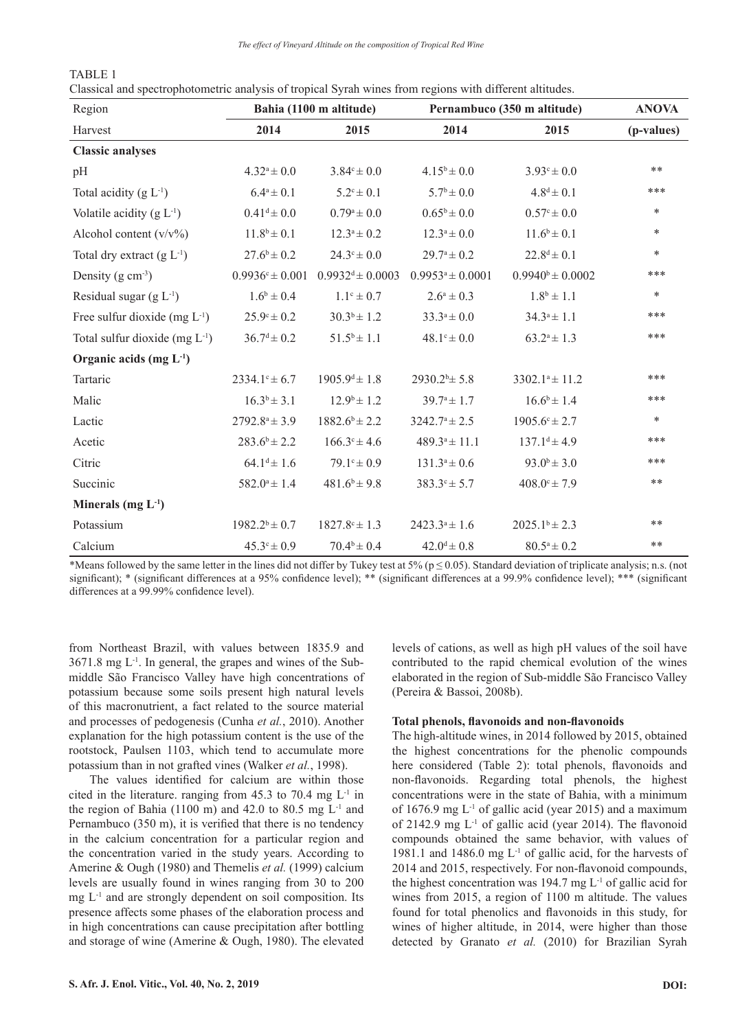*The effect of Vineyard Altitude on the composition of Tropical Red Wine*

| TABLE 1                                                                                                  |  |  |  |  |  |
|----------------------------------------------------------------------------------------------------------|--|--|--|--|--|
| Classical and spectrophotometric analysis of tropical Syrah wines from regions with different altitudes. |  |  |  |  |  |

| Region                              | Bahia (1100 m altitude)    |                             | Pernambuco (350 m altitude) | <b>ANOVA</b>             |            |
|-------------------------------------|----------------------------|-----------------------------|-----------------------------|--------------------------|------------|
| Harvest                             | 2014                       | 2015                        | 2014                        | 2015                     | (p-values) |
| <b>Classic analyses</b>             |                            |                             |                             |                          |            |
| pH                                  | $4.32^a \pm 0.0$           | $3.84^{\circ} \pm 0.0$      | $4.15^b \pm 0.0$            | $3.93^{\circ} \pm 0.0$   | **         |
| Total acidity $(g L^{-1})$          | $6.4^a \pm 0.1$            | $5.2^{\circ} \pm 0.1$       | $5.7^b \pm 0.0$             | $4.8^d \pm 0.1$          | ***        |
| Volatile acidity $(g L1)$           | $0.41^d \pm 0.0$           | $0.79^a \pm 0.0$            | $0.65^b \pm 0.0$            | $0.57^{\circ} \pm 0.0$   | $\ast$     |
| Alcohol content $(v/v\%)$           | $11.8^b \pm 0.1$           | $12.3^a \pm 0.2$            | $12.3^a \pm 0.0$            | $11.6^b \pm 0.1$         | $\ast$     |
| Total dry extract $(g L^{-1})$      | $27.6^b \pm 0.2$           | $24.3^{\circ} \pm 0.0$      | $29.7^{\circ} \pm 0.2$      | $22.8^d \pm 0.1$         | *          |
| Density $(g \text{ cm}^{-3})$       | $0.9936^{\circ} \pm 0.001$ | $0.9932^d \pm 0.0003$       | $0.9953^a \pm 0.0001$       | $0.9940^b \pm 0.0002$    | ***        |
| Residual sugar $(g L^{-1})$         | $1.6^b \pm 0.4$            | $1.1^{\circ} \pm 0.7$       | $2.6^a \pm 0.3$             | $1.8^b \pm 1.1$          | $\ast$     |
| Free sulfur dioxide (mg $L^{-1}$ )  | $25.9^{\circ} \pm 0.2$     | $30.3^b \pm 1.2$            | $33.3^a \pm 0.0$            | $34.3^a \pm 1.1$         | ***        |
| Total sulfur dioxide (mg $L^{-1}$ ) | $36.7^d \pm 0.2$           | $51.5^b \pm 1.1$            | $48.1^{\circ} \pm 0.0$      | $63.2^a \pm 1.3$         | ***        |
| Organic acids $(mg L-1)$            |                            |                             |                             |                          |            |
| Tartaric                            | $2334.1^{\circ} \pm 6.7$   | $1905.9^{\text{d}} \pm 1.8$ | $2930.2^b \pm 5.8$          | $3302.1^a \pm 11.2$      | ***        |
| Malic                               | $16.3^b \pm 3.1$           | $12.9^{\circ} \pm 1.2$      | $39.7^{\circ} \pm 1.7$      | $16.6^b \pm 1.4$         | ***        |
| Lactic                              | $2792.8^a \pm 3.9$         | $1882.6^b \pm 2.2$          | $3242.7^a \pm 2.5$          | $1905.6^{\circ} \pm 2.7$ | $\ast$     |
| Acetic                              | $283.6^b \pm 2.2$          | $166.3^{\circ} \pm 4.6$     | $489.3^a \pm 11.1$          | $137.1^d \pm 4.9$        | ***        |
| Citric                              | $64.1^d \pm 1.6$           | $79.1^{\circ} \pm 0.9$      | $131.3^a \pm 0.6$           | $93.0^b \pm 3.0$         | ***        |
| Succinic                            | $582.0^a \pm 1.4$          | $481.6^b \pm 9.8$           | $383.3^{\circ} \pm 5.7$     | $408.0^{\circ} \pm 7.9$  | **         |
| Minerals (mg $L^{-1}$ )             |                            |                             |                             |                          |            |
| Potassium                           | $1982.2^b \pm 0.7$         | $1827.8$ c ± 1.3            | $2423.3a \pm 1.6$           | $2025.1^b \pm 2.3$       | **         |
| Calcium                             | $45.3^{\circ} \pm 0.9$     | $70.4^b \pm 0.4$            | $42.0^d \pm 0.8$            | $80.5^a \pm 0.2$         | **         |

\*Means followed by the same letter in the lines did not differ by Tukey test at 5% ( $p \le 0.05$ ). Standard deviation of triplicate analysis; n.s. (not significant); \* (significant differences at a 95% confidence level); \*\* (significant differences at a 99.9% confidence level); \*\*\* (significant differences at a 99.99% confidence level).

from Northeast Brazil, with values between 1835.9 and  $3671.8$  mg  $L^{-1}$ . In general, the grapes and wines of the Submiddle São Francisco Valley have high concentrations of potassium because some soils present high natural levels of this macronutrient, a fact related to the source material and processes of pedogenesis (Cunha *et al.*, 2010). Another explanation for the high potassium content is the use of the rootstock, Paulsen 1103, which tend to accumulate more potassium than in not grafted vines (Walker *et al.*, 1998).

The values identified for calcium are within those cited in the literature. ranging from  $45.3$  to  $70.4$  mg  $L<sup>-1</sup>$  in the region of Bahia (1100 m) and 42.0 to 80.5 mg  $L^{-1}$  and Pernambuco (350 m), it is verified that there is no tendency in the calcium concentration for a particular region and the concentration varied in the study years. According to Amerine & Ough (1980) and Themelis *et al.* (1999) calcium levels are usually found in wines ranging from 30 to 200  $mg L<sup>-1</sup>$  and are strongly dependent on soil composition. Its presence affects some phases of the elaboration process and in high concentrations can cause precipitation after bottling and storage of wine (Amerine & Ough, 1980). The elevated

levels of cations, as well as high pH values of the soil have contributed to the rapid chemical evolution of the wines elaborated in the region of Sub-middle São Francisco Valley (Pereira & Bassoi, 2008b).

# **Total phenols, flavonoids and non-flavonoids**

The high-altitude wines, in 2014 followed by 2015, obtained the highest concentrations for the phenolic compounds here considered (Table 2): total phenols, flavonoids and non-flavonoids. Regarding total phenols, the highest concentrations were in the state of Bahia, with a minimum of 1676.9 mg  $L<sup>-1</sup>$  of gallic acid (year 2015) and a maximum of 2142.9 mg L-1 of gallic acid (year 2014). The flavonoid compounds obtained the same behavior, with values of 1981.1 and 1486.0 mg L-1 of gallic acid, for the harvests of 2014 and 2015, respectively. For non-flavonoid compounds, the highest concentration was 194.7 mg  $L^{-1}$  of gallic acid for wines from 2015, a region of 1100 m altitude. The values found for total phenolics and flavonoids in this study, for wines of higher altitude, in 2014, were higher than those detected by Granato *et al.* (2010) for Brazilian Syrah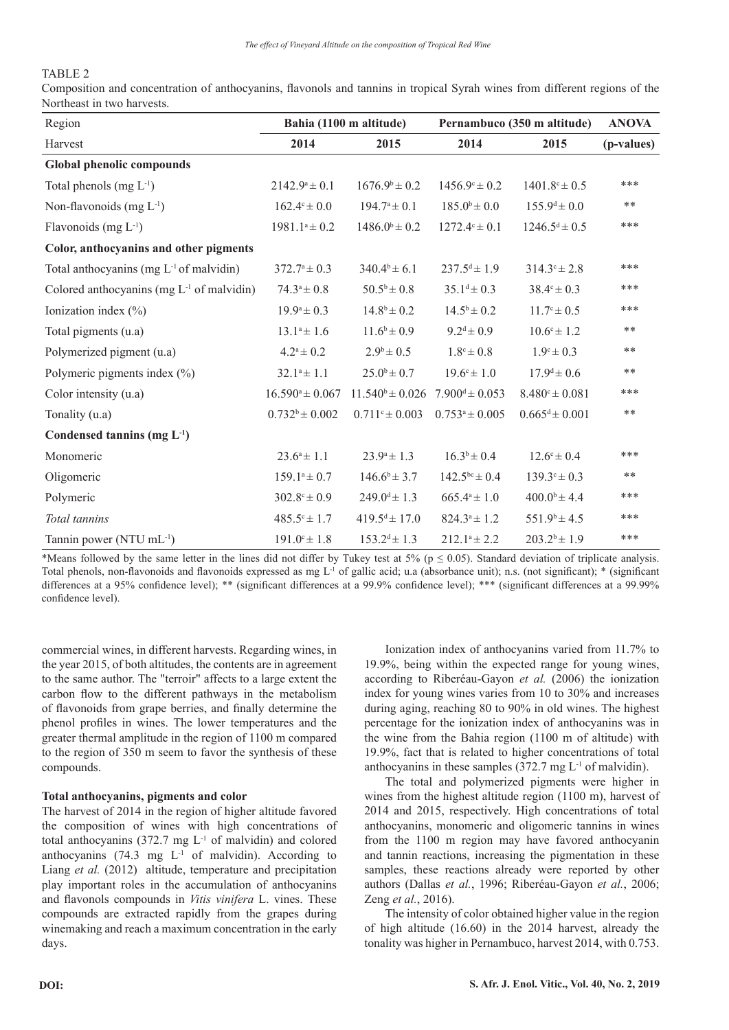# TABLE 2

Composition and concentration of anthocyanins, flavonols and tannins in tropical Syrah wines from different regions of the Northeast in two harvests.

| Region                                              | Bahia (1100 m altitude) |                             | Pernambuco (350 m altitude) | <b>ANOVA</b>                |            |
|-----------------------------------------------------|-------------------------|-----------------------------|-----------------------------|-----------------------------|------------|
| Harvest                                             | 2014                    | 2015                        | 2014                        | 2015                        | (p-values) |
| <b>Global phenolic compounds</b>                    |                         |                             |                             |                             |            |
| Total phenols $(mg L^{-1})$                         | $2142.9^a \pm 0.1$      | $1676.9^b \pm 0.2$          | $1456.9^{\circ} \pm 0.2$    | $1401.8$ <sup>c</sup> ± 0.5 | ***        |
| Non-flavonoids $(mg L^{-1})$                        | $162.4^{\circ} \pm 0.0$ | $194.7^a \pm 0.1$           | $185.0^b \pm 0.0$           | $155.9^d \pm 0.0$           | $***$      |
| Flavonoids (mg $L^{-1}$ )                           | $1981.1^a \pm 0.2$      | $1486.0^b \pm 0.2$          | $1272.4$ ° ± 0.1            | $1246.5^d \pm 0.5$          | ***        |
| Color, anthocyanins and other pigments              |                         |                             |                             |                             |            |
| Total anthocyanins (mg L <sup>-1</sup> of malvidin) | $372.7^a \pm 0.3$       | $340.4^b \pm 6.1$           | $237.5^d \pm 1.9$           | $314.3^{\circ} \pm 2.8$     | ***        |
| Colored anthocyanins (mg $L^{-1}$ of malvidin)      | $74.3^a \pm 0.8$        | $50.5^b \pm 0.8$            | $35.1^d \pm 0.3$            | $38.4^{\circ} \pm 0.3$      | ***        |
| Ionization index $(\% )$                            | $19.9^a \pm 0.3$        | $14.8^{\rm b} \pm 0.2$      | $14.5^{\rm b} \pm 0.2$      | $11.7^{\circ} \pm 0.5$      | ***        |
| Total pigments (u.a)                                | $13.1^a \pm 1.6$        | $11.6^b \pm 0.9$            | $9.2^{\text{d}} \pm 0.9$    | $10.6c \pm 1.2$             | $***$      |
| Polymerized pigment (u.a)                           | $4.2^a \pm 0.2$         | $2.9^b \pm 0.5$             | $1.8^{\circ} \pm 0.8$       | $1.9^{\circ} \pm 0.3$       | $***$      |
| Polymeric pigments index $(\% )$                    | $32.1^a \pm 1.1$        | $25.0^b \pm 0.7$            | $19.6^{\circ} \pm 1.0$      | $17.9^d \pm 0.6$            | $***$      |
| Color intensity (u.a)                               | $16.590^a \pm 0.067$    | $11.540^b \pm 0.026$        | $7.900^d \pm 0.053$         | $8.480^{\circ} \pm 0.081$   | ***        |
| Tonality (u.a)                                      | $0.732^b \pm 0.002$     | $0.711^{\circ} \pm 0.003$   | $0.753^a \pm 0.005$         | $0.665^d \pm 0.001$         | $***$      |
| Condensed tannins $(mg L^{-1})$                     |                         |                             |                             |                             |            |
| Monomeric                                           | $23.6^a \pm 1.1$        | $23.9^a \pm 1.3$            | $16.3^b \pm 0.4$            | $12.6^{\circ} \pm 0.4$      | ***        |
| Oligomeric                                          | $159.1^a \pm 0.7$       | $146.6^b \pm 3.7$           | $142.5^{bc} \pm 0.4$        | $139.3^{\circ} \pm 0.3$     | $***$      |
| Polymeric                                           | $302.8^{\circ} \pm 0.9$ | $249.0^{\text{d}} \pm 1.3$  | $665.4a \pm 1.0$            | $400.0^b \pm 4.4$           | ***        |
| Total tannins                                       | $485.5^{\circ} \pm 1.7$ | $419.5^{\text{d}} \pm 17.0$ | $824.3^a \pm 1.2$           | $551.9^b \pm 4.5$           | ***        |
| Tannin power (NTU mL <sup>-1</sup> )                | $191.0^{\circ} \pm 1.8$ | $153.2^{d} \pm 1.3$         | $212.1^a \pm 2.2$           | $203.2^{b} \pm 1.9$         | ***        |

\*Means followed by the same letter in the lines did not differ by Tukey test at 5% ( $p \le 0.05$ ). Standard deviation of triplicate analysis. Total phenols, non-flavonoids and flavonoids expressed as mg  $L<sup>1</sup>$  of gallic acid; u.a (absorbance unit); n.s. (not significant); \* (significant) differences at a 95% confidence level); \*\* (significant differences at a 99.9% confidence level); \*\*\* (significant differences at a 99.99% confidence level).

commercial wines, in different harvests. Regarding wines, in the year 2015, of both altitudes, the contents are in agreement to the same author. The "terroir" affects to a large extent the carbon flow to the different pathways in the metabolism of flavonoids from grape berries, and finally determine the phenol profiles in wines. The lower temperatures and the greater thermal amplitude in the region of 1100 m compared to the region of 350 m seem to favor the synthesis of these compounds.

# **Total anthocyanins, pigments and color**

The harvest of 2014 in the region of higher altitude favored the composition of wines with high concentrations of total anthocyanins  $(372.7 \text{ mg } L^{-1}$  of malvidin) and colored anthocyanins  $(74.3 \text{ mg } L^{-1} \text{ of }$  malvidin). According to Liang *et al.* (2012) altitude, temperature and precipitation play important roles in the accumulation of anthocyanins and flavonols compounds in *Vitis vinifera* L. vines. These compounds are extracted rapidly from the grapes during winemaking and reach a maximum concentration in the early days.

Ionization index of anthocyanins varied from 11.7% to 19.9%, being within the expected range for young wines, according to Riberéau-Gayon *et al.* (2006) the ionization index for young wines varies from 10 to 30% and increases during aging, reaching 80 to 90% in old wines. The highest percentage for the ionization index of anthocyanins was in the wine from the Bahia region (1100 m of altitude) with 19.9%, fact that is related to higher concentrations of total anthocyanins in these samples  $(372.7 \text{ mg } L^{-1} \text{ of } \text{malyldin}).$ 

The total and polymerized pigments were higher in wines from the highest altitude region (1100 m), harvest of 2014 and 2015, respectively. High concentrations of total anthocyanins, monomeric and oligomeric tannins in wines from the 1100 m region may have favored anthocyanin and tannin reactions, increasing the pigmentation in these samples, these reactions already were reported by other authors (Dallas *et al.*, 1996; Riberéau-Gayon *et al.*, 2006; Zeng *et al.*, 2016).

The intensity of color obtained higher value in the region of high altitude (16.60) in the 2014 harvest, already the tonality was higher in Pernambuco, harvest 2014, with 0.753.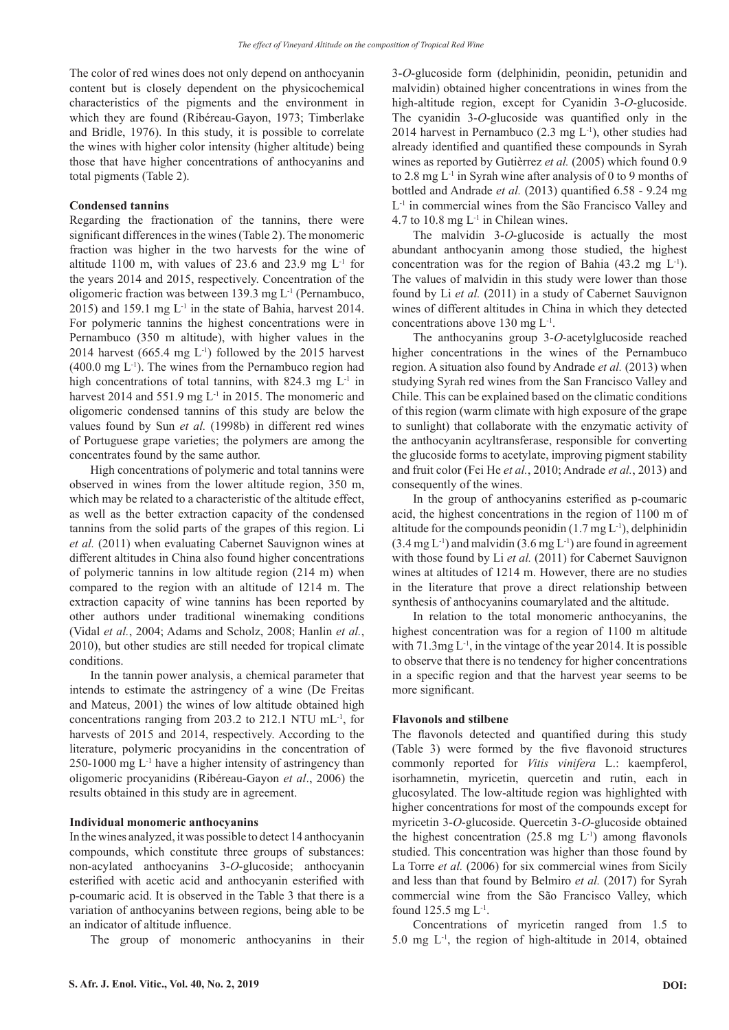The color of red wines does not only depend on anthocyanin content but is closely dependent on the physicochemical characteristics of the pigments and the environment in which they are found (Ribéreau-Gayon, 1973; Timberlake and Bridle, 1976). In this study, it is possible to correlate the wines with higher color intensity (higher altitude) being those that have higher concentrations of anthocyanins and total pigments (Table 2).

# **Condensed tannins**

Regarding the fractionation of the tannins, there were significant differences in the wines (Table 2). The monomeric fraction was higher in the two harvests for the wine of altitude 1100 m, with values of 23.6 and 23.9 mg  $L^{-1}$  for the years 2014 and 2015, respectively. Concentration of the oligomeric fraction was between 139.3 mg L-1 (Pernambuco, 2015) and 159.1 mg L-1 in the state of Bahia, harvest 2014. For polymeric tannins the highest concentrations were in Pernambuco (350 m altitude), with higher values in the 2014 harvest (665.4 mg  $L^{-1}$ ) followed by the 2015 harvest  $(400.0 \text{ mg L}^{-1})$ . The wines from the Pernambuco region had high concentrations of total tannins, with 824.3 mg  $L^{-1}$  in harvest 2014 and 551.9 mg L<sup>-1</sup> in 2015. The monomeric and oligomeric condensed tannins of this study are below the values found by Sun *et al.* (1998b) in different red wines of Portuguese grape varieties; the polymers are among the concentrates found by the same author.

High concentrations of polymeric and total tannins were observed in wines from the lower altitude region, 350 m, which may be related to a characteristic of the altitude effect, as well as the better extraction capacity of the condensed tannins from the solid parts of the grapes of this region. Li *et al.* (2011) when evaluating Cabernet Sauvignon wines at different altitudes in China also found higher concentrations of polymeric tannins in low altitude region (214 m) when compared to the region with an altitude of 1214 m. The extraction capacity of wine tannins has been reported by other authors under traditional winemaking conditions (Vidal *et al.*, 2004; Adams and Scholz, 2008; Hanlin *et al.*, 2010), but other studies are still needed for tropical climate conditions.

In the tannin power analysis, a chemical parameter that intends to estimate the astringency of a wine (De Freitas and Mateus, 2001) the wines of low altitude obtained high concentrations ranging from 203.2 to 212.1 NTU mL-1, for harvests of 2015 and 2014, respectively. According to the literature, polymeric procyanidins in the concentration of 250-1000 mg  $L<sup>-1</sup>$  have a higher intensity of astringency than oligomeric procyanidins (Ribéreau-Gayon *et al*., 2006) the results obtained in this study are in agreement.

## **Individual monomeric anthocyanins**

In the wines analyzed, it was possible to detect 14 anthocyanin compounds, which constitute three groups of substances: non-acylated anthocyanins 3-*O*-glucoside; anthocyanin esterified with acetic acid and anthocyanin esterified with p-coumaric acid. It is observed in the Table 3 that there is a variation of anthocyanins between regions, being able to be an indicator of altitude influence.

The group of monomeric anthocyanins in their

3-*O*-glucoside form (delphinidin, peonidin, petunidin and malvidin) obtained higher concentrations in wines from the high-altitude region, except for Cyanidin 3-*O*-glucoside. The cyanidin 3-*O*-glucoside was quantified only in the 2014 harvest in Pernambuco (2.3 mg  $L^{-1}$ ), other studies had already identified and quantified these compounds in Syrah wines as reported by Gutièrrez *et al.* (2005) which found 0.9 to 2.8 mg  $L^{-1}$  in Syrah wine after analysis of 0 to 9 months of bottled and Andrade *et al.* (2013) quantified 6.58 - 9.24 mg L-1 in commercial wines from the São Francisco Valley and 4.7 to 10.8 mg  $L^{-1}$  in Chilean wines.

The malvidin 3-*O*-glucoside is actually the most abundant anthocyanin among those studied, the highest concentration was for the region of Bahia  $(43.2 \text{ mg } L^{-1})$ . The values of malvidin in this study were lower than those found by Li *et al.* (2011) in a study of Cabernet Sauvignon wines of different altitudes in China in which they detected concentrations above 130 mg L-1.

The anthocyanins group 3-*O*-acetylglucoside reached higher concentrations in the wines of the Pernambuco region. A situation also found by Andrade *et al.* (2013) when studying Syrah red wines from the San Francisco Valley and Chile. This can be explained based on the climatic conditions of this region (warm climate with high exposure of the grape to sunlight) that collaborate with the enzymatic activity of the anthocyanin acyltransferase, responsible for converting the glucoside forms to acetylate, improving pigment stability and fruit color (Fei He *et al.*, 2010; Andrade *et al.*, 2013) and consequently of the wines.

In the group of anthocyanins esterified as p-coumaric acid, the highest concentrations in the region of 1100 m of altitude for the compounds peonidin  $(1.7 \text{ mg L}^{-1})$ , delphinidin  $(3.4 \text{ mg L}^{-1})$  and malvidin  $(3.6 \text{ mg L}^{-1})$  are found in agreement with those found by Li *et al.* (2011) for Cabernet Sauvignon wines at altitudes of 1214 m. However, there are no studies in the literature that prove a direct relationship between synthesis of anthocyanins coumarylated and the altitude.

In relation to the total monomeric anthocyanins, the highest concentration was for a region of 1100 m altitude with  $71.3mg L<sup>-1</sup>$ , in the vintage of the year 2014. It is possible to observe that there is no tendency for higher concentrations in a specific region and that the harvest year seems to be more significant.

# **Flavonols and stilbene**

The flavonols detected and quantified during this study (Table 3) were formed by the five flavonoid structures commonly reported for *Vitis vinifera* L.: kaempferol, isorhamnetin, myricetin, quercetin and rutin, each in glucosylated. The low-altitude region was highlighted with higher concentrations for most of the compounds except for myricetin 3-*O*-glucoside. Quercetin 3-*O*-glucoside obtained the highest concentration  $(25.8 \text{ mg } L^{-1})$  among flavonols studied. This concentration was higher than those found by La Torre *et al.* (2006) for six commercial wines from Sicily and less than that found by Belmiro *et al.* (2017) for Syrah commercial wine from the São Francisco Valley, which found 125.5 mg L-1.

Concentrations of myricetin ranged from 1.5 to 5.0 mg  $L<sup>-1</sup>$ , the region of high-altitude in 2014, obtained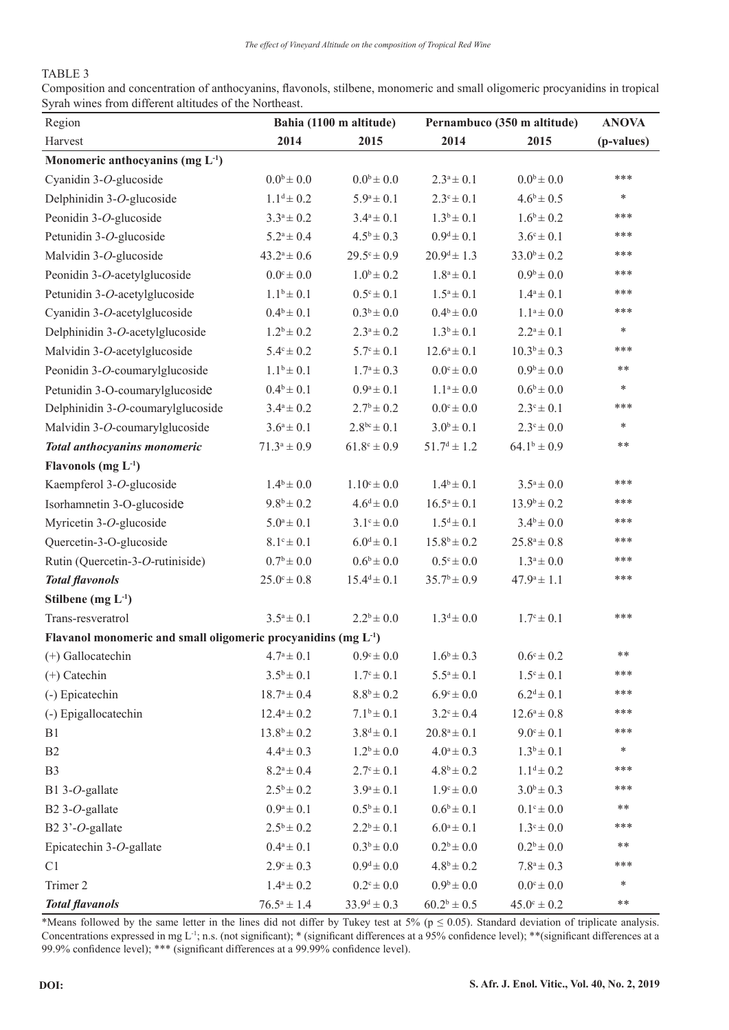# TABLE 3

Composition and concentration of anthocyanins, flavonols, stilbene, monomeric and small oligomeric procyanidins in tropical Syrah wines from different altitudes of the Northeast.

| Region                                                           | Bahia (1100 m altitude) |                               | Pernambuco (350 m altitude) | <b>ANOVA</b>           |            |
|------------------------------------------------------------------|-------------------------|-------------------------------|-----------------------------|------------------------|------------|
| Harvest                                                          | 2014                    | 2015                          | 2014                        | 2015                   | (p-values) |
| Monomeric anthocyanins (mg $L^{-1}$ )                            |                         |                               |                             |                        |            |
| Cyanidin 3-O-glucoside                                           | $0.0^{\rm b} \pm 0.0$   | $0.0^{\rm b} \pm 0.0$         | $2.3^a \pm 0.1$             | $0.0^{\rm b} \pm 0.0$  | ***        |
| Delphinidin 3-O-glucoside                                        | $1.1^d \pm 0.2$         | $5.9^a \pm 0.1$               | $2.3^{\circ} \pm 0.1$       | $4.6^b \pm 0.5$        | $\ast$     |
| Peonidin 3-O-glucoside                                           | $3.3^a \pm 0.2$         | $3.4^a \pm 0.1$               | $1.3^b \pm 0.1$             | $1.6^b \pm 0.2$        | ***        |
| Petunidin 3-O-glucoside                                          | $5.2^a \pm 0.4$         | $4.5^b \pm 0.3$               | $0.9^d \pm 0.1$             | $3.6^{\circ} \pm 0.1$  | ***        |
| Malvidin 3-O-glucoside                                           | $43.2^a \pm 0.6$        | $29.5^{\circ} \pm 0.9$        | $20.9^d \pm 1.3$            | $33.0^b \pm 0.2$       | ***        |
| Peonidin 3-O-acetylglucoside                                     | $0.0^{\circ} \pm 0.0$   | $1.0^b \pm 0.2$               | $1.8^a \pm 0.1$             | $0.9^b \pm 0.0$        | ***        |
| Petunidin 3-O-acetylglucoside                                    | $1.1^b \pm 0.1$         | $0.5^{\circ} \pm 0.1$         | $1.5^a \pm 0.1$             | $1.4^a \pm 0.1$        | ***        |
| Cyanidin 3-O-acetylglucoside                                     | $0.4^b \pm 0.1$         | $0.3^b \pm 0.0$               | $0.4^b \pm 0.0$             | $1.1^a \pm 0.0$        | ***        |
| Delphinidin 3-O-acetylglucoside                                  | $1.2^b \pm 0.2$         | $2.3^a \pm 0.2$               | $1.3^b \pm 0.1$             | $2.2^a \pm 0.1$        | $\ast$     |
| Malvidin 3-O-acetylglucoside                                     | $5.4^{\circ} \pm 0.2$   | $5.7^{\circ} \pm 0.1$         | $12.6^a \pm 0.1$            | $10.3^b \pm 0.3$       | ***        |
| Peonidin 3-O-coumarylglucoside                                   | $1.1^b \pm 0.1$         | $1.7^a \pm 0.3$               | $0.0^{\circ} \pm 0.0$       | $0.9^b \pm 0.0$        | **         |
| Petunidin 3-O-coumarylglucoside                                  | $0.4^b \pm 0.1$         | $0.9^a \pm 0.1$               | $1.1^a \pm 0.0$             | $0.6^{\rm b} \pm 0.0$  | *          |
| Delphinidin 3-O-coumarylglucoside                                | $3.4^a \pm 0.2$         | $2.7^b \pm 0.2$               | $0.0^{\circ} \pm 0.0$       | $2.3^{\circ} \pm 0.1$  | ***        |
| Malvidin 3-O-coumarylglucoside                                   | $3.6^a \pm 0.1$         | $2.8^{bc} \pm 0.1$            | $3.0^b \pm 0.1$             | $2.3^{\circ} \pm 0.0$  | $\ast$     |
| Total anthocyanins monomeric                                     | $71.3^a \pm 0.9$        | $61.8^{\circ} \pm 0.9$        | $51.7^d \pm 1.2$            | $64.1^b \pm 0.9$       | **         |
| Flavonols (mg $L^{-1}$ )                                         |                         |                               |                             |                        |            |
| Kaempferol 3-O-glucoside                                         | $1.4^b \pm 0.0$         | $1.10^{\circ} \pm 0.0$        | $1.4^b \pm 0.1$             | $3.5^a \pm 0.0$        | ***        |
| Isorhamnetin 3-O-glucoside                                       | $9.8^b \pm 0.2$         | $4.6^d \pm 0.0$               | $16.5^a \pm 0.1$            | $13.9^{\rm b} \pm 0.2$ | ***        |
| Myricetin 3-O-glucoside                                          | $5.0^a \pm 0.1$         | $3.1^{\circ} \pm 0.0$         | $1.5^d \pm 0.1$             | $3.4^b \pm 0.0$        | ***        |
| Quercetin-3-O-glucoside                                          | $8.1^{\circ} \pm 0.1$   | $6.0^d \pm 0.1$               | $15.8^b \pm 0.2$            | $25.8^a \pm 0.8$       | ***        |
| Rutin (Quercetin-3-O-rutiniside)                                 | $0.7^{\rm b} \pm 0.0$   | $0.6^{\rm b} \pm 0.0^{\rm c}$ | $0.5^{\circ} \pm 0.0$       | $1.3^a \pm 0.0$        | ***        |
| <b>Total flavonols</b>                                           | $25.0^{\circ} \pm 0.8$  | $15.4^d \pm 0.1$              | $35.7^b \pm 0.9$            | $47.9^a \pm 1.1$       | ***        |
| Stilbene $(mg L-1)$                                              |                         |                               |                             |                        |            |
| Trans-resveratrol                                                | $3.5^a \pm 0.1$         | $2.2^b \pm 0.0$               | $1.3^d \pm 0.0$             | $1.7^{\circ} \pm 0.1$  | ***        |
| Flavanol monomeric and small oligomeric procyanidins (mg $L-1$ ) |                         |                               |                             |                        |            |
| $(+)$ Gallocatechin                                              | $4.7^a \pm 0.1$         | $0.9^{\circ} \pm 0.0$         | $1.6^b \pm 0.3$             | $0.6^{\circ} \pm 0.2$  | **         |
| $(+)$ Catechin                                                   | $3.5^b \pm 0.1$         | $1.7^{\circ} \pm 0.1$         | $5.5^a \pm 0.1$             | $1.5^{\circ} \pm 0.1$  | ***        |
| (-) Epicatechin                                                  | $18.7^a \pm 0.4$        | $8.8^b \pm 0.2$               | $6.9^{\rm c} \pm 0.0$       | $6.2^d \pm 0.1$        | ***        |
| (-) Epigallocatechin                                             | $12.4^a \pm 0.2$        | $7.1^b \pm 0.1$               | $3.2^{\circ} \pm 0.4$       | $12.6^a \pm 0.8$       | ***        |
| B1                                                               | $13.8^{\rm b} \pm 0.2$  | $3.8^d \pm 0.1$               | $20.8^a \pm 0.1$            | $9.0^{\circ} \pm 0.1$  | ***        |
| B2                                                               | $4.4^a \pm 0.3$         | $1.2^b \pm 0.0$               | $4.0^a \pm 0.3$             | $1.3^b \pm 0.1$        | *          |
| B <sub>3</sub>                                                   | $8.2^a \pm 0.4$         | $2.7^{\circ} \pm 0.1$         | $4.8^{\rm b}\pm0.2$         | $1.1^{\rm d} \pm 0.2$  | ***        |
| B1 3-O-gallate                                                   | $2.5^b \pm 0.2$         | $3.9^a \pm 0.1$               | $1.9^{\circ} \pm 0.0$       | $3.0^b \pm 0.3$        | ***        |
| B2 3-O-gallate                                                   | $0.9^a \pm 0.1$         | $0.5^b \pm 0.1$               | $0.6^{\rm b} \pm 0.1$       | $0.1^{\circ} \pm 0.0$  | **         |
| B2 3'-O-gallate                                                  | $2.5^b \pm 0.2$         | $2.2^b \pm 0.1$               | $6.0^a \pm 0.1$             | $1.3^{\circ} \pm 0.0$  | ***        |
| Epicatechin 3-O-gallate                                          | $0.4^a \pm 0.1$         | $0.3^b \pm 0.0$               | $0.2^b \pm 0.0$             | $0.2^b \pm 0.0$        | **         |
| C1                                                               | $2.9^{\circ} \pm 0.3$   | $0.9^d \pm 0.0$               | $4.8^b \pm 0.2$             | $7.8^a \pm 0.3$        | ***        |
| Trimer 2                                                         | $1.4^a \pm 0.2$         | $0.2^{\circ} \pm 0.0$         | $0.9^b \pm 0.0$             | $0.0^{\circ} \pm 0.0$  | *          |
| <b>Total flavanols</b>                                           | $76.5^a \pm 1.4$        | $33.9^d \pm 0.3$              | $60.2^b \pm 0.5$            | $45.0^{\rm c} \pm 0.2$ | **         |

\*Means followed by the same letter in the lines did not differ by Tukey test at  $5\%$  (p  $\leq$  0.05). Standard deviation of triplicate analysis. Concentrations expressed in mg L<sup>-1</sup>; n.s. (not significant); \* (significant differences at a 95% confidence level); \*\*(significant differences at a 99.9% confidence level); \*\*\* (significant differences at a 99.99% confidence level).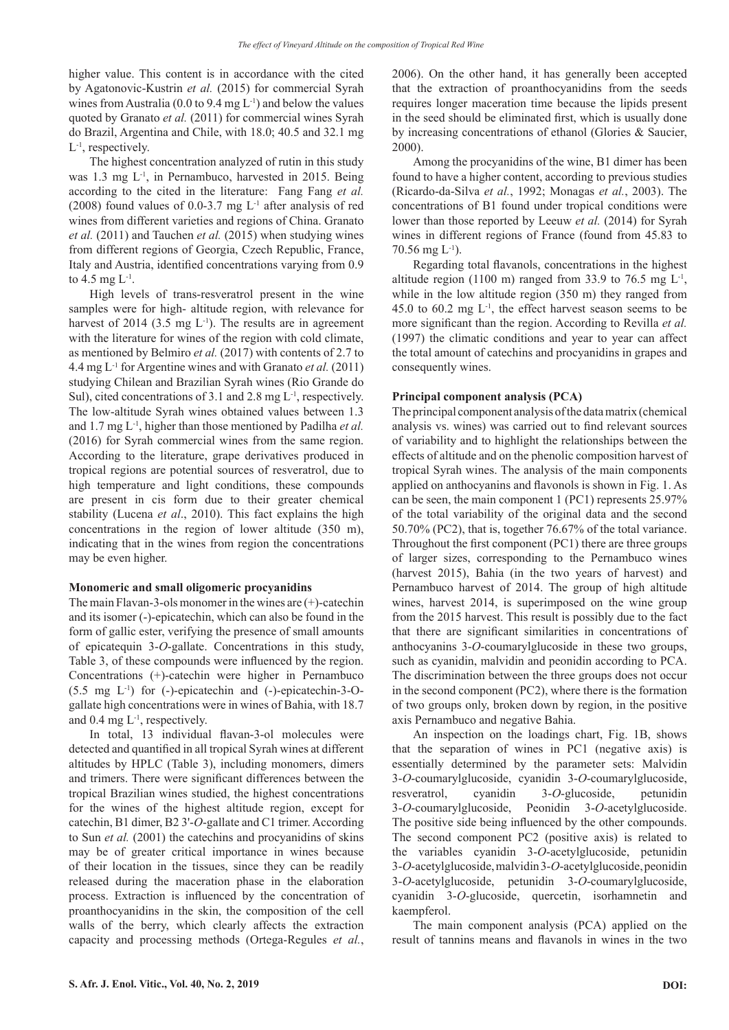higher value. This content is in accordance with the cited by Agatonovic-Kustrin *et al.* (2015) for commercial Syrah wines from Australia (0.0 to 9.4 mg  $L^{-1}$ ) and below the values quoted by Granato *et al.* (2011) for commercial wines Syrah do Brazil, Argentina and Chile, with 18.0; 40.5 and 32.1 mg  $L^{-1}$ , respectively.

The highest concentration analyzed of rutin in this study was 1.3 mg L<sup>-1</sup>, in Pernambuco, harvested in 2015. Being according to the cited in the literature: Fang Fang *et al.* (2008) found values of 0.0-3.7 mg L-1 after analysis of red wines from different varieties and regions of China. Granato *et al.* (2011) and Tauchen *et al.* (2015) when studying wines from different regions of Georgia, Czech Republic, France, Italy and Austria, identified concentrations varying from 0.9 to 4.5 mg L-1.

High levels of trans-resveratrol present in the wine samples were for high- altitude region, with relevance for harvest of 2014 (3.5 mg  $L^{-1}$ ). The results are in agreement with the literature for wines of the region with cold climate, as mentioned by Belmiro *et al.* (2017) with contents of 2.7 to 4.4 mg L-1 for Argentine wines and with Granato *et al.* (2011) studying Chilean and Brazilian Syrah wines (Rio Grande do Sul), cited concentrations of 3.1 and 2.8 mg L<sup>-1</sup>, respectively. The low-altitude Syrah wines obtained values between 1.3 and 1.7 mg L-1, higher than those mentioned by Padilha *et al.* (2016) for Syrah commercial wines from the same region. According to the literature, grape derivatives produced in tropical regions are potential sources of resveratrol, due to high temperature and light conditions, these compounds are present in cis form due to their greater chemical stability (Lucena *et al*., 2010). This fact explains the high concentrations in the region of lower altitude (350 m), indicating that in the wines from region the concentrations may be even higher.

## **Monomeric and small oligomeric procyanidins**

The main Flavan-3-ols monomer in the wines are (+)-catechin and its isomer (-)-epicatechin, which can also be found in the form of gallic ester, verifying the presence of small amounts of epicatequin 3-*O*-gallate. Concentrations in this study, Table 3, of these compounds were influenced by the region. Concentrations (+)-catechin were higher in Pernambuco (5.5 mg L-1) for (-)-epicatechin and (-)-epicatechin-3-Ogallate high concentrations were in wines of Bahia, with 18.7 and 0.4 mg  $L^{-1}$ , respectively.

In total, 13 individual flavan-3-ol molecules were detected and quantified in all tropical Syrah wines at different altitudes by HPLC (Table 3), including monomers, dimers and trimers. There were significant differences between the tropical Brazilian wines studied, the highest concentrations for the wines of the highest altitude region, except for catechin, B1 dimer, B2 3'-*O*-gallate and C1 trimer. According to Sun *et al.* (2001) the catechins and procyanidins of skins may be of greater critical importance in wines because of their location in the tissues, since they can be readily released during the maceration phase in the elaboration process. Extraction is influenced by the concentration of proanthocyanidins in the skin, the composition of the cell walls of the berry, which clearly affects the extraction capacity and processing methods (Ortega-Regules *et al.*,

2006). On the other hand, it has generally been accepted that the extraction of proanthocyanidins from the seeds requires longer maceration time because the lipids present in the seed should be eliminated first, which is usually done by increasing concentrations of ethanol (Glories & Saucier, 2000).

Among the procyanidins of the wine, B1 dimer has been found to have a higher content, according to previous studies (Ricardo-da-Silva *et al.*, 1992; Monagas *et al.*, 2003). The concentrations of B1 found under tropical conditions were lower than those reported by Leeuw *et al.* (2014) for Syrah wines in different regions of France (found from 45.83 to  $70.56$  mg  $L^{-1}$ ).

Regarding total flavanols, concentrations in the highest altitude region (1100 m) ranged from 33.9 to 76.5 mg  $L^1$ , while in the low altitude region (350 m) they ranged from 45.0 to 60.2 mg  $L^{-1}$ , the effect harvest season seems to be more significant than the region. According to Revilla *et al.* (1997) the climatic conditions and year to year can affect the total amount of catechins and procyanidins in grapes and consequently wines.

## **Principal component analysis (PCA)**

The principal component analysis of the data matrix (chemical analysis vs. wines) was carried out to find relevant sources of variability and to highlight the relationships between the effects of altitude and on the phenolic composition harvest of tropical Syrah wines. The analysis of the main components applied on anthocyanins and flavonols is shown in Fig. 1. As can be seen, the main component 1 (PC1) represents 25.97% of the total variability of the original data and the second 50.70% (PC2), that is, together 76.67% of the total variance. Throughout the first component (PC1) there are three groups of larger sizes, corresponding to the Pernambuco wines (harvest 2015), Bahia (in the two years of harvest) and Pernambuco harvest of 2014. The group of high altitude wines, harvest 2014, is superimposed on the wine group from the 2015 harvest. This result is possibly due to the fact that there are significant similarities in concentrations of anthocyanins 3-*O*-coumarylglucoside in these two groups, such as cyanidin, malvidin and peonidin according to PCA. The discrimination between the three groups does not occur in the second component (PC2), where there is the formation of two groups only, broken down by region, in the positive axis Pernambuco and negative Bahia.

An inspection on the loadings chart, Fig. 1B, shows that the separation of wines in PC1 (negative axis) is essentially determined by the parameter sets: Malvidin 3-*O*-coumarylglucoside, cyanidin 3-*O*-coumarylglucoside, resveratrol, cyanidin 3-*O*-glucoside, petunidin 3-*O*-coumarylglucoside, Peonidin 3-*O*-acetylglucoside. The positive side being influenced by the other compounds. The second component PC2 (positive axis) is related to the variables cyanidin 3-*O*-acetylglucoside, petunidin 3-*O*-acetylglucoside, malvidin 3-*O*-acetylglucoside, peonidin 3-*O*-acetylglucoside, petunidin 3-*O*-coumarylglucoside, cyanidin 3-*O*-glucoside, quercetin, isorhamnetin and kaempferol.

The main component analysis (PCA) applied on the result of tannins means and flavanols in wines in the two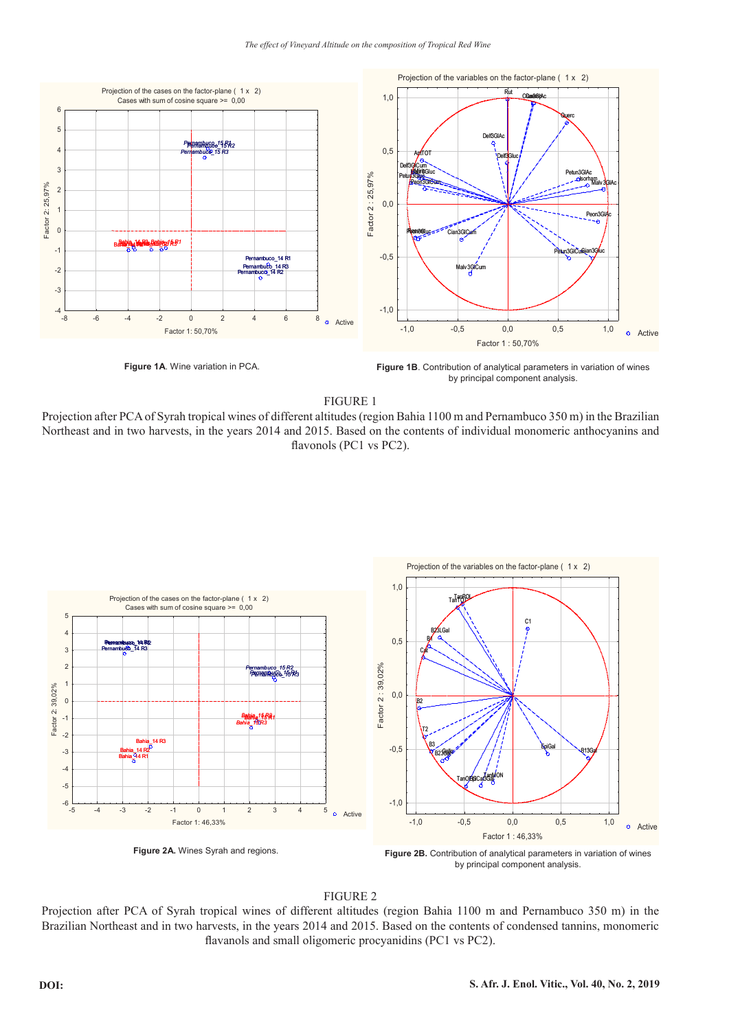

**Figure 1A**. Wine variation in PCA.

**Figure 1B**. Contribution of analytical parameters in variation of wines by principal component analysis.

FIGURE 1

Projection after PCA of Syrah tropical wines of different altitudes (region Bahia 1100 m and Pernambuco 350 m) in the Brazilian Northeast and in two harvests, in the years 2014 and 2015. Based on the contents of individual monomeric anthocyanins and flavonols (PC1 vs PC2).



by principal component analysis.

# FIGURE 2

Projection after PCA of Syrah tropical wines of different altitudes (region Bahia 1100 m and Pernambuco 350 m) in the Brazilian Northeast and in two harvests, in the years 2014 and 2015. Based on the contents of condensed tannins, monomeric flavanols and small oligomeric procyanidins (PC1 vs PC2).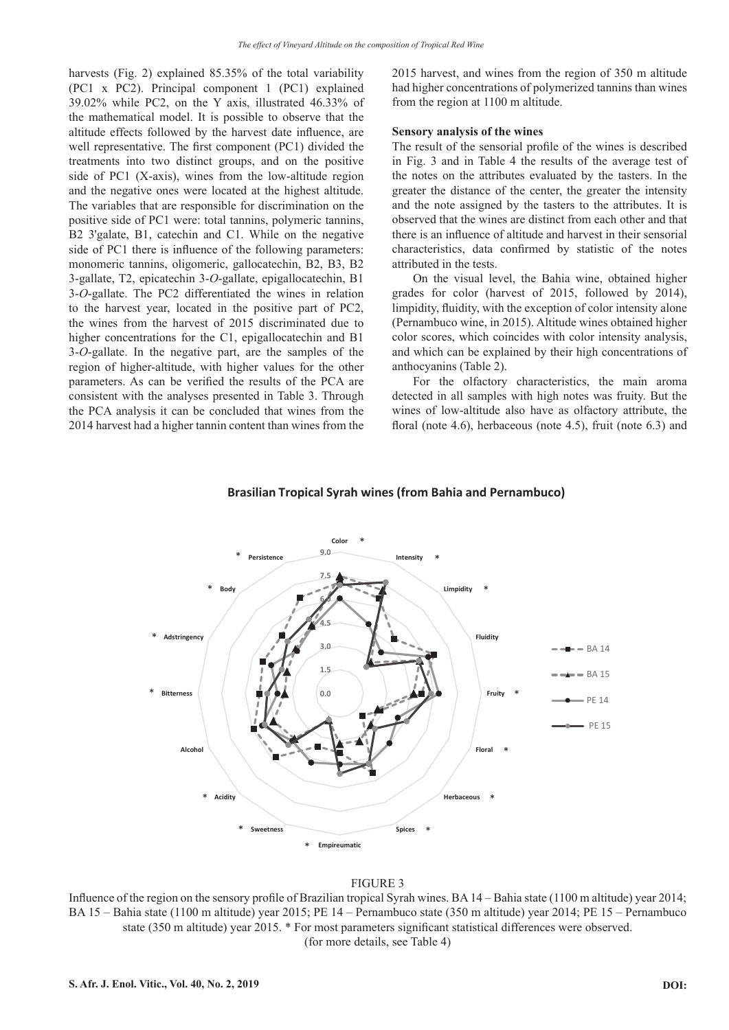harvests (Fig. 2) explained 85.35% of the total variability (PC1 x PC2). Principal component 1 (PC1) explained 39.02% while PC2, on the Y axis, illustrated 46.33% of the mathematical model. It is possible to observe that the altitude effects followed by the harvest date influence, are well representative. The first component (PC1) divided the treatments into two distinct groups, and on the positive side of PC1 (X-axis), wines from the low-altitude region and the negative ones were located at the highest altitude. The variables that are responsible for discrimination on the positive side of PC1 were: total tannins, polymeric tannins, B2 3'galate, B1, catechin and C1. While on the negative side of PC1 there is influence of the following parameters: monomeric tannins, oligomeric, gallocatechin, B2, B3, B2 3-gallate, T2, epicatechin 3-*O*-gallate, epigallocatechin, B1 3-*O*-gallate. The PC2 differentiated the wines in relation to the harvest year, located in the positive part of PC2, the wines from the harvest of 2015 discriminated due to higher concentrations for the C1, epigallocatechin and B1 3-*O*-gallate. In the negative part, are the samples of the region of higher-altitude, with higher values for the other parameters. As can be verified the results of the PCA are consistent with the analyses presented in Table 3. Through the PCA analysis it can be concluded that wines from the 2014 harvest had a higher tannin content than wines from the

2015 harvest, and wines from the region of 350 m altitude had higher concentrations of polymerized tannins than wines from the region at 1100 m altitude.

## **Sensory analysis of the wines**

The result of the sensorial profile of the wines is described in Fig. 3 and in Table 4 the results of the average test of the notes on the attributes evaluated by the tasters. In the greater the distance of the center, the greater the intensity and the note assigned by the tasters to the attributes. It is observed that the wines are distinct from each other and that there is an influence of altitude and harvest in their sensorial characteristics, data confirmed by statistic of the notes attributed in the tests.

On the visual level, the Bahia wine, obtained higher grades for color (harvest of 2015, followed by 2014), limpidity, fluidity, with the exception of color intensity alone (Pernambuco wine, in 2015). Altitude wines obtained higher color scores, which coincides with color intensity analysis, and which can be explained by their high concentrations of anthocyanins (Table 2).

For the olfactory characteristics, the main aroma detected in all samples with high notes was fruity. But the wines of low-altitude also have as olfactory attribute, the floral (note 4.6), herbaceous (note 4.5), fruit (note 6.3) and



## **Brasilian Tropical Syrah wines (from Bahia and Pernambuco)**

#### FIGURE 3

Influence of the region on the sensory profile of Brazilian tropical Syrah wines. BA 14 – Bahia state (1100 m altitude) year 2014; BA 15 – Bahia state (1100 m altitude) year 2015; PE 14 – Pernambuco state (350 m altitude) year 2014; PE 15 – Pernambuco state (350 m altitude) year 2015. \* For most parameters significant statistical differences were observed. (for more details, see Table 4)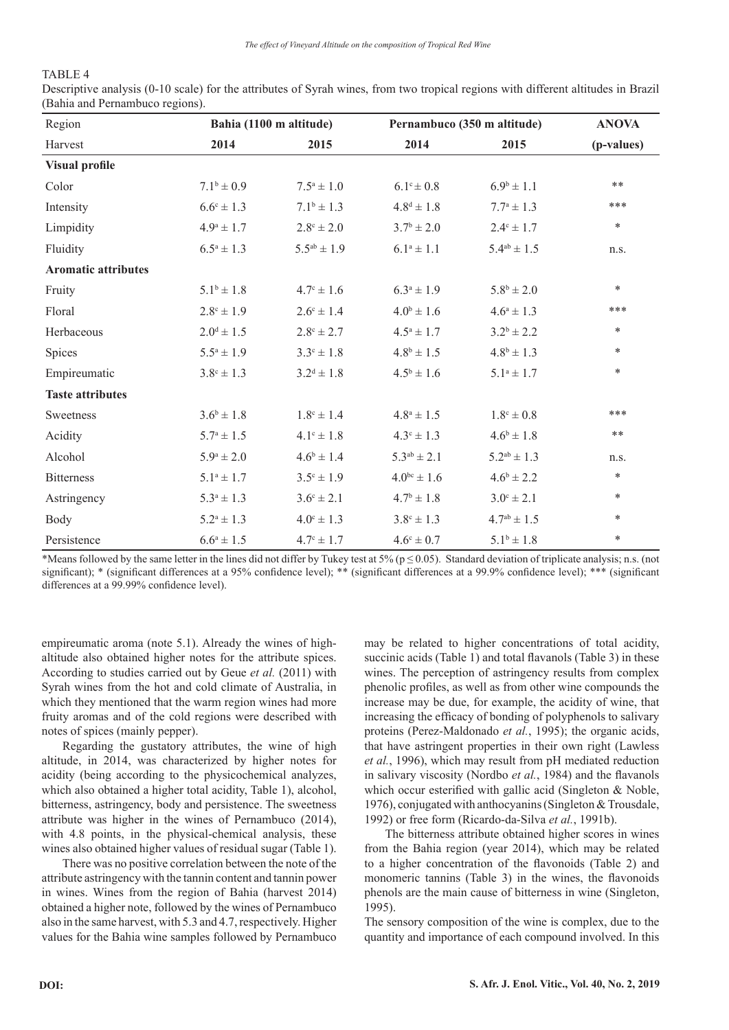# TABLE 4

Descriptive analysis (0-10 scale) for the attributes of Syrah wines, from two tropical regions with different altitudes in Brazil (Bahia and Pernambuco regions).

| Region                     |                       | Bahia (1100 m altitude) |                       | Pernambuco (350 m altitude) |            |  |
|----------------------------|-----------------------|-------------------------|-----------------------|-----------------------------|------------|--|
| Harvest                    | 2014                  | 2015                    | 2014                  | 2015                        | (p-values) |  |
| <b>Visual profile</b>      |                       |                         |                       |                             |            |  |
| Color                      | $7.1^b \pm 0.9$       | $7.5^a \pm 1.0$         | $6.1^{\circ} \pm 0.8$ | $6.9^{\rm b} \pm 1.1$       | $**$       |  |
| Intensity                  | $6.6^{\circ} \pm 1.3$ | $7.1^b \pm 1.3$         | $4.8^d \pm 1.8$       | $7.7^{\rm a} \pm 1.3$       | ***        |  |
| Limpidity                  | $4.9^{\circ} \pm 1.7$ | $2.8^{\circ} \pm 2.0$   | $3.7^{\rm b} \pm 2.0$ | $2.4^{\circ} \pm 1.7$       | $\ast$     |  |
| Fluidity                   | $6.5^a \pm 1.3$       | $5.5^{ab} \pm 1.9$      | $6.1^a \pm 1.1$       | $5.4^{ab} \pm 1.5$          | n.s.       |  |
| <b>Aromatic attributes</b> |                       |                         |                       |                             |            |  |
| Fruity                     | $5.1^b \pm 1.8$       | $4.7^{\circ} \pm 1.6$   | $6.3^a \pm 1.9$       | $5.8^b \pm 2.0$             | $\ast$     |  |
| Floral                     | $2.8^{\circ} \pm 1.9$ | $2.6^{\circ} \pm 1.4$   | $4.0^{\rm b} \pm 1.6$ | $4.6^a \pm 1.3$             | ***        |  |
| Herbaceous                 | $2.0^d \pm 1.5$       | $2.8^{\circ} \pm 2.7$   | $4.5^{\rm a} \pm 1.7$ | $3.2^b \pm 2.2$             | $\ast$     |  |
| Spices                     | $5.5^a \pm 1.9$       | $3.3^{\circ} \pm 1.8$   | $4.8^{\rm b} \pm 1.5$ | $4.8^{\rm b} \pm 1.3$       | $\ast$     |  |
| Empireumatic               | $3.8^{\circ} \pm 1.3$ | $3.2^d \pm 1.8$         | $4.5^{\rm b} \pm 1.6$ | $5.1^a \pm 1.7$             | $\ast$     |  |
| <b>Taste attributes</b>    |                       |                         |                       |                             |            |  |
| Sweetness                  | $3.6^b \pm 1.8$       | $1.8^{\circ} \pm 1.4$   | $4.8^{\rm a} \pm 1.5$ | $1.8^{\circ} \pm 0.8$       | ***        |  |
| Acidity                    | $5.7^{\rm a} \pm 1.5$ | $4.1^{\circ} \pm 1.8$   | $4.3^{\circ} \pm 1.3$ | $4.6^b \pm 1.8$             | $***$      |  |
| Alcohol                    | $5.9^{\rm a} \pm 2.0$ | $4.6^b \pm 1.4$         | $5.3^{ab} \pm 2.1$    | $5.2^{ab} \pm 1.3$          | n.s.       |  |
| <b>Bitterness</b>          | $5.1^a \pm 1.7$       | $3.5^{\circ} \pm 1.9$   | $4.0^{bc} \pm 1.6$    | $4.6^b \pm 2.2$             | $\ast$     |  |
| Astringency                | $5.3^a \pm 1.3$       | $3.6^{\circ} \pm 2.1$   | $4.7^{\rm b} \pm 1.8$ | $3.0^{\circ} \pm 2.1$       | $\ast$     |  |
| Body                       | $5.2^a \pm 1.3$       | $4.0^{\circ} \pm 1.3$   | $3.8^{\circ} \pm 1.3$ | $4.7^{ab} \pm 1.5$          | $\ast$     |  |
| Persistence                | $6.6^a \pm 1.5$       | $4.7^{\circ} \pm 1.7$   | $4.6^{\circ} \pm 0.7$ | $5.1^b \pm 1.8$             | $\ast$     |  |

\*Means followed by the same letter in the lines did not differ by Tukey test at 5% ( $p \le 0.05$ ). Standard deviation of triplicate analysis; n.s. (not significant); \* (significant differences at a 95% confidence level); \*\* (significant differences at a 99.9% confidence level); \*\*\* (significant differences at a 99.99% confidence level).

empireumatic aroma (note 5.1). Already the wines of highaltitude also obtained higher notes for the attribute spices. According to studies carried out by Geue *et al.* (2011) with Syrah wines from the hot and cold climate of Australia, in which they mentioned that the warm region wines had more fruity aromas and of the cold regions were described with notes of spices (mainly pepper).

Regarding the gustatory attributes, the wine of high altitude, in 2014, was characterized by higher notes for acidity (being according to the physicochemical analyzes, which also obtained a higher total acidity, Table 1), alcohol, bitterness, astringency, body and persistence. The sweetness attribute was higher in the wines of Pernambuco (2014), with 4.8 points, in the physical-chemical analysis, these wines also obtained higher values of residual sugar (Table 1).

There was no positive correlation between the note of the attribute astringency with the tannin content and tannin power in wines. Wines from the region of Bahia (harvest 2014) obtained a higher note, followed by the wines of Pernambuco also in the same harvest, with 5.3 and 4.7, respectively. Higher values for the Bahia wine samples followed by Pernambuco may be related to higher concentrations of total acidity, succinic acids (Table 1) and total flavanols (Table 3) in these wines. The perception of astringency results from complex phenolic profiles, as well as from other wine compounds the increase may be due, for example, the acidity of wine, that increasing the efficacy of bonding of polyphenols to salivary proteins (Perez-Maldonado *et al.*, 1995); the organic acids, that have astringent properties in their own right (Lawless *et al.*, 1996), which may result from pH mediated reduction in salivary viscosity (Nordbo *et al.*, 1984) and the flavanols which occur esterified with gallic acid (Singleton & Noble, 1976), conjugated with anthocyanins (Singleton & Trousdale, 1992) or free form (Ricardo-da-Silva *et al.*, 1991b).

The bitterness attribute obtained higher scores in wines from the Bahia region (year 2014), which may be related to a higher concentration of the flavonoids (Table 2) and monomeric tannins (Table 3) in the wines, the flavonoids phenols are the main cause of bitterness in wine (Singleton, 1995).

The sensory composition of the wine is complex, due to the quantity and importance of each compound involved. In this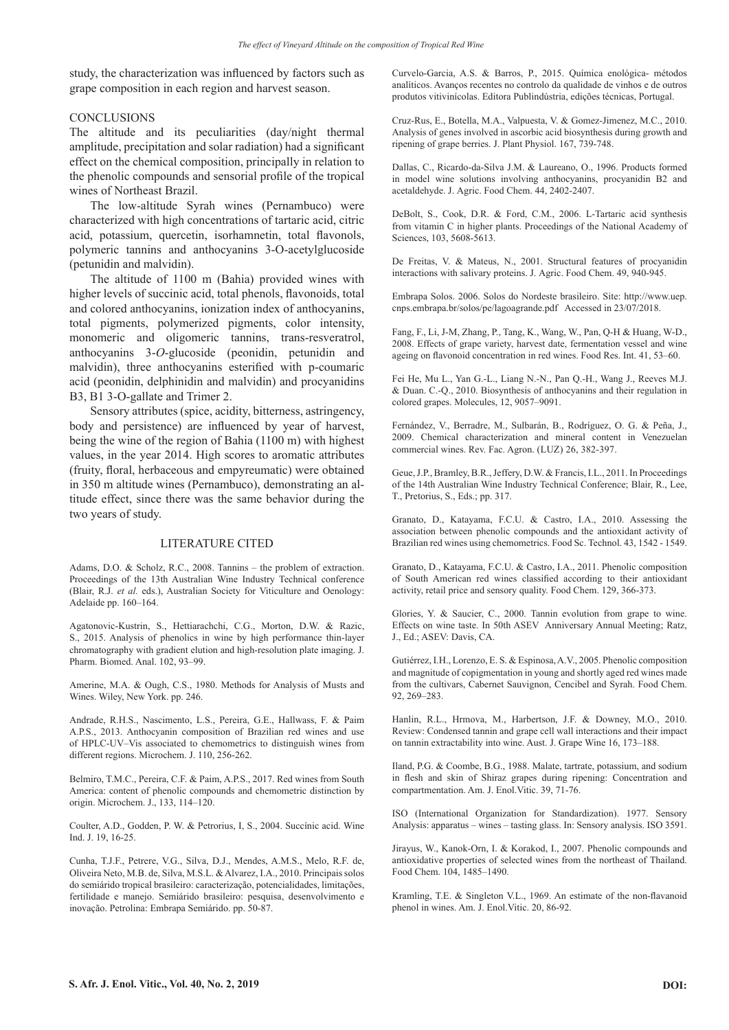study, the characterization was influenced by factors such as grape composition in each region and harvest season.

## CONCLUSIONS

The altitude and its peculiarities (day/night thermal amplitude, precipitation and solar radiation) had a significant effect on the chemical composition, principally in relation to the phenolic compounds and sensorial profile of the tropical wines of Northeast Brazil.

The low-altitude Syrah wines (Pernambuco) were characterized with high concentrations of tartaric acid, citric acid, potassium, quercetin, isorhamnetin, total flavonols, polymeric tannins and anthocyanins 3-O-acetylglucoside (petunidin and malvidin).

The altitude of 1100 m (Bahia) provided wines with higher levels of succinic acid, total phenols, flavonoids, total and colored anthocyanins, ionization index of anthocyanins, total pigments, polymerized pigments, color intensity, monomeric and oligomeric tannins, trans-resveratrol, anthocyanins 3-*O*-glucoside (peonidin, petunidin and malvidin), three anthocyanins esterified with p-coumaric acid (peonidin, delphinidin and malvidin) and procyanidins B3, B1 3-O-gallate and Trimer 2.

Sensory attributes (spice, acidity, bitterness, astringency, body and persistence) are influenced by year of harvest, being the wine of the region of Bahia (1100 m) with highest values, in the year 2014. High scores to aromatic attributes (fruity, floral, herbaceous and empyreumatic) were obtained in 350 m altitude wines (Pernambuco), demonstrating an altitude effect, since there was the same behavior during the two years of study.

# LITERATURE CITED

Adams, D.O. & Scholz, R.C., 2008. Tannins – the problem of extraction. Proceedings of the 13th Australian Wine Industry Technical conference (Blair, R.J. *et al.* eds.), Australian Society for Viticulture and Oenology: Adelaide pp. 160–164.

Agatonovic-Kustrin, S., Hettiarachchi, C.G., Morton, D.W. & Razic, S., 2015. Analysis of phenolics in wine by high performance thin-layer chromatography with gradient elution and high-resolution plate imaging. J. Pharm. Biomed. Anal. 102, 93–99.

Amerine, M.A. & Ough, C.S., 1980. Methods for Analysis of Musts and Wines. Wiley, New York. pp. 246.

Andrade, R.H.S., Nascimento, L.S., Pereira, G.E., Hallwass, F. & Paim A.P.S., 2013. Anthocyanin composition of Brazilian red wines and use of HPLC-UV–Vis associated to chemometrics to distinguish wines from different regions. Microchem. J. 110, 256-262.

Belmiro, T.M.C., Pereira, C.F. & Paim, A.P.S., 2017. Red wines from South America: content of phenolic compounds and chemometric distinction by origin. Microchem. J., 133, 114–120.

Coulter, A.D., Godden, P. W. & Petrorius, I, S., 2004. Succínic acid. Wine Ind. J. 19, 16-25.

Cunha, T.J.F., Petrere, V.G., Silva, D.J., Mendes, A.M.S., Melo, R.F. de, Oliveira Neto, M.B. de, Silva, M.S.L. & Alvarez, I.A., 2010. Principais solos do semiárido tropical brasileiro: caracterização, potencialidades, limitações, fertilidade e manejo. Semiárido brasileiro: pesquisa, desenvolvimento e inovação. Petrolina: Embrapa Semiárido. pp. 50-87.

Curvelo-Garcia, A.S. & Barros, P., 2015. Química enológica- métodos analíticos. Avanços recentes no controlo da qualidade de vinhos e de outros produtos vitivinícolas. Editora Publindústria, edições técnicas, Portugal.

Cruz-Rus, E., Botella, M.A., Valpuesta, V. & Gomez-Jimenez, M.C., 2010. Analysis of genes involved in ascorbic acid biosynthesis during growth and ripening of grape berries. J. Plant Physiol. 167, 739-748.

Dallas, C., Ricardo-da-Silva J.M. & Laureano, O., 1996. Products formed in model wine solutions involving anthocyanins, procyanidin B2 and acetaldehyde. J. Agric. Food Chem. 44, 2402-2407.

DeBolt, S., Cook, D.R. & Ford, C.M., 2006. L-Tartaric acid synthesis from vitamin C in higher plants. Proceedings of the National Academy of Sciences, 103, 5608-5613.

De Freitas, V. & Mateus, N., 2001. Structural features of procyanidin interactions with salivary proteins. J. Agric. Food Chem. 49, 940-945.

Embrapa Solos. 2006. Solos do Nordeste brasileiro. Site: http://www.uep. cnps.embrapa.br/solos/pe/lagoagrande.pdf Accessed in 23/07/2018.

Fang, F., Li, J-M, Zhang, P., Tang, K., Wang, W., Pan, Q-H & Huang, W-D., 2008. Effects of grape variety, harvest date, fermentation vessel and wine ageing on flavonoid concentration in red wines. Food Res. Int. 41, 53–60.

Fei He, Mu L., Yan G.-L., Liang N.-N., Pan Q.-H., Wang J., Reeves M.J. & Duan. C.-Q., 2010. Biosynthesis of anthocyanins and their regulation in colored grapes. Molecules, 12, 9057–9091.

Fernández, V., Berradre, M., Sulbarán, B., Rodríguez, O. G. & Peña, J., 2009. Chemical characterization and mineral content in Venezuelan commercial wines. Rev. Fac. Agron. (LUZ) 26, 382-397.

Geue, J.P., Bramley, B.R., Jeffery, D.W. & Francis, I.L., 2011. In Proceedings of the 14th Australian Wine Industry Technical Conference; Blair, R., Lee, T., Pretorius, S., Eds.; pp. 317.

Granato, D., Katayama, F.C.U. & Castro, I.A., 2010. Assessing the association between phenolic compounds and the antioxidant activity of Brazilian red wines using chemometrics. Food Sc. Technol. 43, 1542 - 1549.

Granato, D., Katayama, F.C.U. & Castro, I.A., 2011. Phenolic composition of South American red wines classified according to their antioxidant activity, retail price and sensory quality. Food Chem. 129, 366-373.

Glories, Y. & Saucier, C., 2000. Tannin evolution from grape to wine. Effects on wine taste. In 50th ASEV Anniversary Annual Meeting; Ratz, J., Ed.; ASEV: Davis, CA.

Gutiérrez, I.H., Lorenzo, E. S. & Espinosa, A.V., 2005. Phenolic composition and magnitude of copigmentation in young and shortly aged red wines made from the cultivars, Cabernet Sauvignon, Cencibel and Syrah. Food Chem. 92, 269–283.

Hanlin, R.L., Hrmova, M., Harbertson, J.F. & Downey, M.O., 2010. Review: Condensed tannin and grape cell wall interactions and their impact on tannin extractability into wine. Aust. J. Grape Wine 16, 173–188.

Iland, P.G. & Coombe, B.G., 1988. Malate, tartrate, potassium, and sodium in flesh and skin of Shiraz grapes during ripening: Concentration and compartmentation. Am. J. Enol.Vitic. 39, 71-76.

ISO (International Organization for Standardization). 1977. Sensory Analysis: apparatus – wines – tasting glass. In: Sensory analysis. ISO 3591.

Jirayus, W., Kanok-Orn, I. & Korakod, I., 2007. Phenolic compounds and antioxidative properties of selected wines from the northeast of Thailand. Food Chem. 104, 1485–1490.

Kramling, T.E. & Singleton V.L., 1969. An estimate of the non-flavanoid phenol in wines. Am. J. Enol.Vitic. 20, 86-92.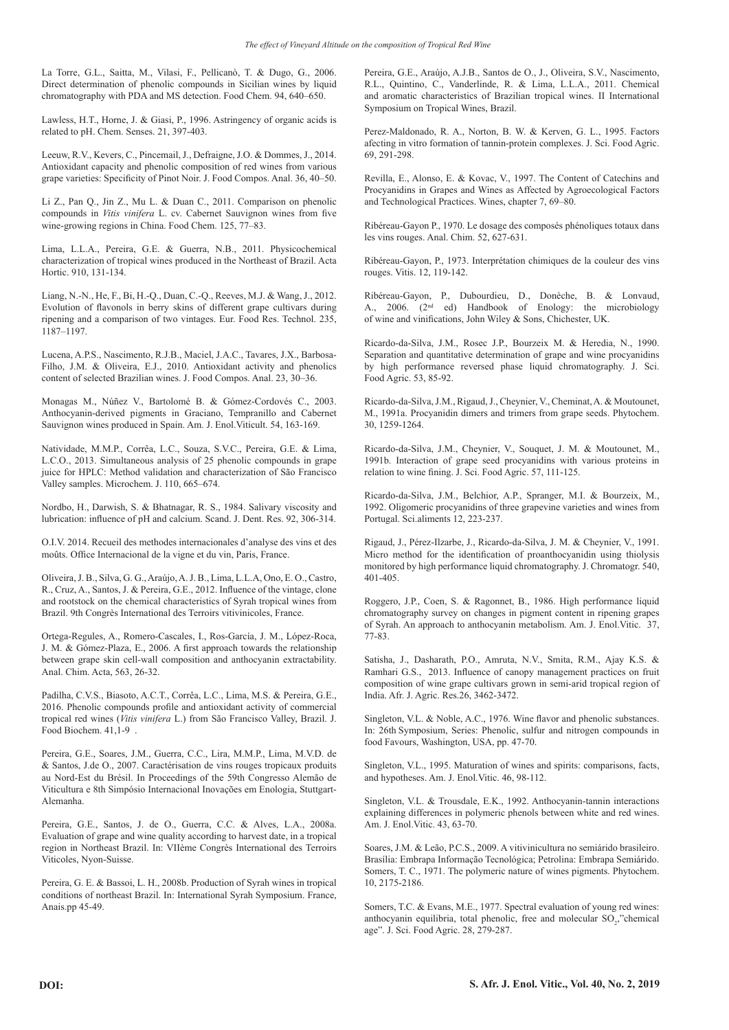La Torre, G.L., Saitta, M., Vilasi, F., Pellicanò, T. & Dugo, G., 2006. Direct determination of phenolic compounds in Sicilian wines by liquid chromatography with PDA and MS detection. Food Chem. 94, 640–650.

Lawless, H.T., Horne, J. & Giasi, P., 1996. Astringency of organic acids is related to pH. Chem. Senses. 21, 397-403.

Leeuw, R.V., Kevers, C., Pincemail, J., Defraigne, J.O. & Dommes, J., 2014. Antioxidant capacity and phenolic composition of red wines from various grape varieties: Specificity of Pinot Noir. J. Food Compos. Anal. 36, 40–50.

Li Z., Pan Q., Jin Z., Mu L. & Duan C., 2011. Comparison on phenolic compounds in *Vitis vinifera* L. cv. Cabernet Sauvignon wines from five wine-growing regions in China. Food Chem. 125, 77–83.

Lima, L.L.A., Pereira, G.E. & Guerra, N.B., 2011. Physicochemical characterization of tropical wines produced in the Northeast of Brazil. Acta Hortic. 910, 131-134.

Liang, N.-N., He, F., Bi, H.-Q., Duan, C.-Q., Reeves, M.J. & Wang, J., 2012. Evolution of flavonols in berry skins of different grape cultivars during ripening and a comparison of two vintages. Eur. Food Res. Technol. 235, 1187–1197.

Lucena, A.P.S., Nascimento, R.J.B., Maciel, J.A.C., Tavares, J.X., Barbosa-Filho, J.M. & Oliveira, E.J., 2010. Antioxidant activity and phenolics content of selected Brazilian wines. J. Food Compos. Anal. 23, 30–36.

Monagas M., Núñez V., Bartolomé B. & Gómez-Cordovés C., 2003. Anthocyanin-derived pigments in Graciano, Tempranillo and Cabernet Sauvignon wines produced in Spain. Am. J. Enol.Viticult. 54, 163-169.

Natividade, M.M.P., Corrêa, L.C., Souza, S.V.C., Pereira, G.E. & Lima, L.C.O., 2013. Simultaneous analysis of 25 phenolic compounds in grape juice for HPLC: Method validation and characterization of São Francisco Valley samples. Microchem. J. 110, 665–674.

Nordbo, H., Darwish, S. & Bhatnagar, R. S., 1984. Salivary viscosity and lubrication: influence of pH and calcium. Scand. J. Dent. Res. 92, 306-314.

O.I.V. 2014. Recueil des methodes internacionales d'analyse des vins et des moûts. Office Internacional de la vigne et du vin, Paris, France.

Oliveira, J. B., Silva, G. G., Araújo, A. J. B., Lima, L.L.A, Ono, E. O., Castro, R., Cruz, A., Santos, J. & Pereira, G.E., 2012. Influence of the vintage, clone and rootstock on the chemical characteristics of Syrah tropical wines from Brazil. 9th Congrès International des Terroirs vitivinicoles, France.

Ortega-Regules, A., Romero-Cascales, I., Ros-García, J. M., López-Roca, J. M. & Gómez-Plaza, E., 2006. A first approach towards the relationship between grape skin cell-wall composition and anthocyanin extractability. Anal. Chim. Acta, 563, 26-32.

Padilha, C.V.S., Biasoto, A.C.T., Corrêa, L.C., Lima, M.S. & Pereira, G.E., 2016. Phenolic compounds profile and antioxidant activity of commercial tropical red wines (*Vitis vinifera* L.) from São Francisco Valley, Brazil. J. Food Biochem. 41,1-9 .

Pereira, G.E., Soares, J.M., Guerra, C.C., Lira, M.M.P., Lima, M.V.D. de & Santos, J.de O., 2007. Caractérisation de vins rouges tropicaux produits au Nord-Est du Brésil. In Proceedings of the 59th Congresso Alemão de Viticultura e 8th Simpósio Internacional Inovações em Enologia, Stuttgart-Alemanha.

Pereira, G.E., Santos, J. de O., Guerra, C.C. & Alves, L.A., 2008a. Evaluation of grape and wine quality according to harvest date, in a tropical region in Northeast Brazil. In: VIIème Congrès International des Terroirs Viticoles, Nyon-Suisse.

Pereira, G. E. & Bassoi, L. H., 2008b. Production of Syrah wines in tropical conditions of northeast Brazil. In: International Syrah Symposium. France, Anais.pp 45-49.

Pereira, G.E., Araújo, A.J.B., Santos de O., J., Oliveira, S.V., Nascimento, R.L., Quintino, C., Vanderlinde, R. & Lima, L.L.A., 2011. Chemical and aromatic characteristics of Brazilian tropical wines. II International Symposium on Tropical Wines, Brazil.

Perez-Maldonado, R. A., Norton, B. W. & Kerven, G. L., 1995. Factors afecting in vitro formation of tannin-protein complexes. J. Sci. Food Agric. 69, 291-298.

Revilla, E., Alonso, E. & Kovac, V., 1997. The Content of Catechins and Procyanidins in Grapes and Wines as Affected by Agroecological Factors and Technological Practices. Wines, chapter 7, 69–80.

Ribéreau-Gayon P., 1970. Le dosage des composés phénoliques totaux dans les vins rouges. Anal. Chim. 52, 627-631.

Ribéreau-Gayon, P., 1973. Interprétation chimiques de la couleur des vins rouges. Vitis. 12, 119-142.

Ribéreau-Gayon, P., Dubourdieu, D., Donèche, B. & Lonvaud, A., 2006. (2nd ed) Handbook of Enology: the microbiology of wine and vinifications, John Wiley & Sons, Chichester, UK.

Ricardo-da-Silva, J.M., Rosec J.P., Bourzeix M. & Heredia, N., 1990. Separation and quantitative determination of grape and wine procyanidins by high performance reversed phase liquid chromatography. J. Sci. Food Agric. 53, 85-92.

Ricardo-da-Silva, J.M., Rigaud, J., Cheynier, V., Cheminat, A. & Moutounet, M., 1991a. Procyanidin dimers and trimers from grape seeds. Phytochem. 30, 1259-1264.

Ricardo-da-Silva, J.M., Cheynier, V., Souquet, J. M. & Moutounet, M., 1991b. Interaction of grape seed procyanidins with various proteins in relation to wine fining. J. Sci. Food Agric. 57, 111-125.

Ricardo-da-Silva, J.M., Belchior, A.P., Spranger, M.I. & Bourzeix, M., 1992. Oligomeric procyanidins of three grapevine varieties and wines from Portugal. Sci.aliments 12, 223-237.

Rigaud, J., Pérez-Ilzarbe, J., Ricardo-da-Silva, J. M. & Cheynier, V., 1991. Micro method for the identification of proanthocyanidin using thiolysis monitored by high performance liquid chromatography. J. Chromatogr. 540, 401-405.

Roggero, J.P., Coen, S. & Ragonnet, B., 1986. High performance liquid chromatography survey on changes in pigment content in ripening grapes of Syrah. An approach to anthocyanin metabolism. Am. J. Enol.Vitic. 37, 77-83.

Satisha, J., Dasharath, P.O., Amruta, N.V., Smita, R.M., Ajay K.S. & Ramhari G.S., 2013. Influence of canopy management practices on fruit composition of wine grape cultivars grown in semi-arid tropical region of India. Afr. J. Agric. Res.26, 3462-3472.

Singleton, V.L. & Noble, A.C., 1976. Wine flavor and phenolic substances. In: 26th Symposium, Series: Phenolic, sulfur and nitrogen compounds in food Favours, Washington, USA, pp. 47-70.

Singleton, V.L., 1995. Maturation of wines and spirits: comparisons, facts, and hypotheses. Am. J. Enol.Vitic. 46, 98-112.

Singleton, V.L. & Trousdale, E.K., 1992. Anthocyanin-tannin interactions explaining differences in polymeric phenols between white and red wines. Am. J. Enol.Vitic. 43, 63-70.

Soares, J.M. & Leão, P.C.S., 2009. A vitivinicultura no semiárido brasileiro. Brasília: Embrapa Informação Tecnológica; Petrolina: Embrapa Semiárido. Somers, T. C., 1971. The polymeric nature of wines pigments. Phytochem. 10, 2175-2186.

Somers, T.C. & Evans, M.E., 1977. Spectral evaluation of young red wines: anthocyanin equilibria, total phenolic, free and molecular SO<sub>2</sub>,"chemical age". J. Sci. Food Agric. 28, 279-287.